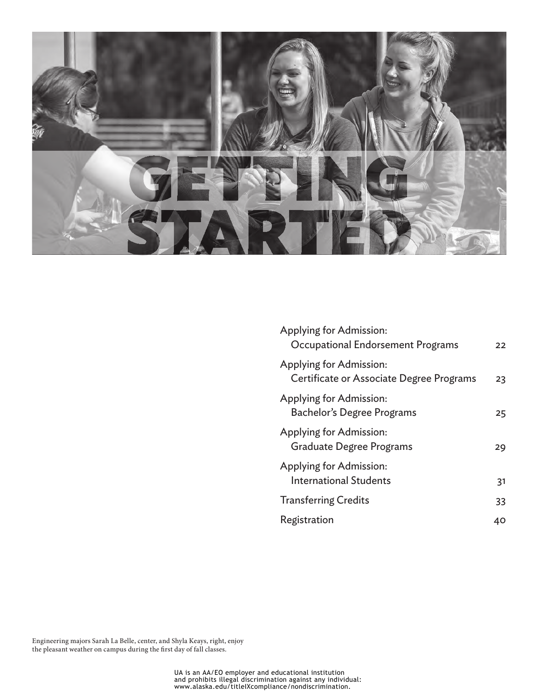

| Applying for Admission:<br>Occupational Endorsement Programs        | 22 |
|---------------------------------------------------------------------|----|
| Applying for Admission:<br>Certificate or Associate Degree Programs | 23 |
| Applying for Admission:<br>Bachelor's Degree Programs               | 25 |
| Applying for Admission:<br><b>Graduate Degree Programs</b>          | 29 |
| Applying for Admission:<br><b>International Students</b>            | 31 |
| <b>Transferring Credits</b>                                         | 33 |
| Registration                                                        | 40 |
|                                                                     |    |

Engineering majors Sarah La Belle, center, and Shyla Keays, right, enjoy the pleasant weather on campus during the first day of fall classes.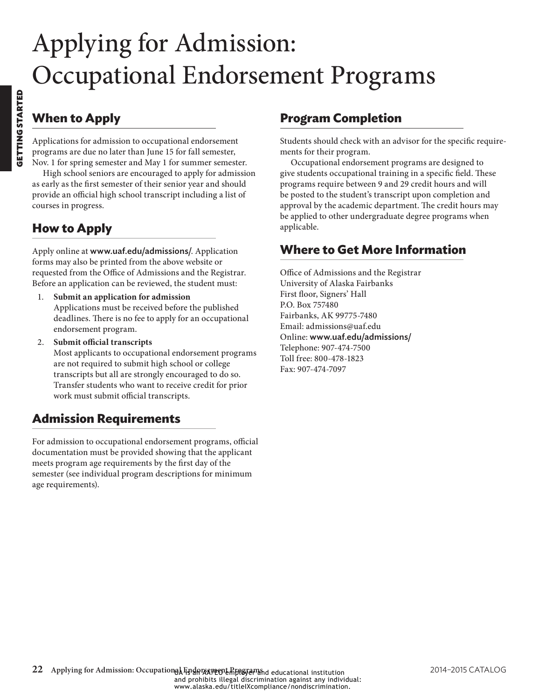# <span id="page-1-0"></span>Applying for Admission: Occupational Endorsement Programs

# **When to Apply**

Applications for admission to occupational endorsement programs are due no later than June 15 for fall semester, Nov. 1 for spring semester and May 1 for summer semester.

High school seniors are encouraged to apply for admission as early as the first semester of their senior year and should provide an official high school transcript including a list of courses in progress.

# **How to Apply**

Apply online at www.uaf.edu/admissions/. Application forms may also be printed from the above website or requested from the Office of Admissions and the Registrar. Before an application can be reviewed, the student must:

- 1. **Submit an application for admission** Applications must be received before the published deadlines. There is no fee to apply for an occupational endorsement program.
- 2. **Submit official transcripts**

Most applicants to occupational endorsement programs are not required to submit high school or college transcripts but all are strongly encouraged to do so. Transfer students who want to receive credit for prior work must submit official transcripts.

# **Admission Requirements**

For admission to occupational endorsement programs, official documentation must be provided showing that the applicant meets program age requirements by the first day of the semester (see individual program descriptions for minimum age requirements).

## **Program Completion**

Students should check with an advisor for the specific requirements for their program.

Occupational endorsement programs are designed to give students occupational training in a specific field. These programs require between 9 and 29 credit hours and will be posted to the student's transcript upon completion and approval by the academic department. The credit hours may be applied to other undergraduate degree programs when applicable.

## **Where to Get More Information**

Office of Admissions and the Registrar University of Alaska Fairbanks First floor, Signers' Hall P.O. Box 757480 Fairbanks, AK 99775-7480 Email: admissions@uaf.edu Online: www.uaf.edu/admissions/ Telephone: 907-474-7500 Toll free: 800-478-1823 Fax: 907-474-7097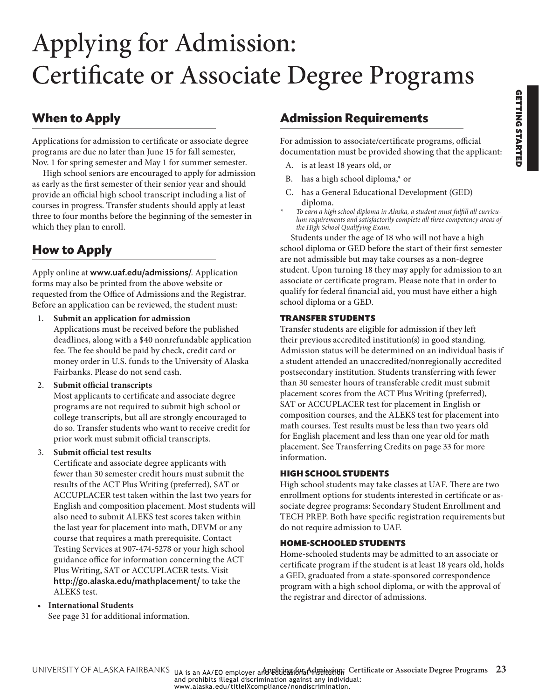# <span id="page-2-1"></span><span id="page-2-0"></span>Applying for Admission: Certificate or Associate Degree Programs

## **When to Apply**

Applications for admission to certificate or associate degree programs are due no later than June 15 for fall semester, Nov. 1 for spring semester and May 1 for summer semester.

High school seniors are encouraged to apply for admission as early as the first semester of their senior year and should provide an official high school transcript including a list of courses in progress. Transfer students should apply at least three to four months before the beginning of the semester in which they plan to enroll.

# **How to Apply**

Apply online at www.uaf.edu/admissions/. Application forms may also be printed from the above website or requested from the Office of Admissions and the Registrar. Before an application can be reviewed, the student must:

- 1. **Submit an application for admission** Applications must be received before the published deadlines, along with a \$40 nonrefundable application fee. The fee should be paid by check, credit card or money order in U.S. funds to the University of Alaska Fairbanks. Please do not send cash.
- 2. **Submit official transcripts**

Most applicants to certificate and associate degree programs are not required to submit high school or college transcripts, but all are strongly encouraged to do so. Transfer students who want to receive credit for prior work must submit official transcripts.

3. **Submit official test results**

Certificate and associate degree applicants with fewer than 30 semester credit hours must submit the results of the ACT Plus Writing (preferred), SAT or ACCUPLACER test taken within the last two years for English and composition placement. Most students will also need to submit ALEKS test scores taken within the last year for placement into math, DEVM or any course that requires a math prerequisite. Contact Testing Services at 907-474-5278 or your high school guidance office for information concerning the ACT Plus Writing, SAT or ACCUPLACER tests. Visit http://go.alaska.edu/mathplacement/ to take the ALEKS test.

### • **International Students**

See [page 31](#page-10-1) for additional information.

## **Admission Requirements**

For admission to associate/certificate programs, official documentation must be provided showing that the applicant:

- A. is at least 18 years old, or
- B. has a high school diploma,\* or
- C. has a General Educational Development (GED) diploma.
- *\* To earn a high school diploma in Alaska, a student must fulfill all curriculum requirements and satisfactorily complete all three competency areas of the High School Qualifying Exam.*

Students under the age of 18 who will not have a high school diploma or GED before the start of their first semester are not admissible but may take courses as a non-degree student. Upon turning 18 they may apply for admission to an associate or certificate program. Please note that in order to qualify for federal financial aid, you must have either a high school diploma or a GED.

### TRANSFER STUDENTS

Transfer students are eligible for admission if they left their previous accredited institution(s) in good standing. Admission status will be determined on an individual basis if a student attended an unaccredited/nonregionally accredited postsecondary institution. Students transferring with fewer than 30 semester hours of transferable credit must submit placement scores from the ACT Plus Writing (preferred), SAT or ACCUPLACER test for placement in English or composition courses, and the ALEKS test for placement into math courses. Test results must be less than two years old for English placement and less than one year old for math placement. See Transferring Credits on [page 33](#page-12-1) for more information.

### HIGH SCHOOL STUDENTS

High school students may take classes at UAF. There are two enrollment options for students interested in certificate or associate degree programs: Secondary Student Enrollment and TECH PREP. Both have specific registration requirements but do not require admission to UAF.

### HOME-SCHOOLED STUDENTS

Home-schooled students may be admitted to an associate or certificate program if the student is at least 18 years old, holds a GED, graduated from a state-sponsored correspondence program with a high school diploma, or with the approval of the registrar and director of admissions.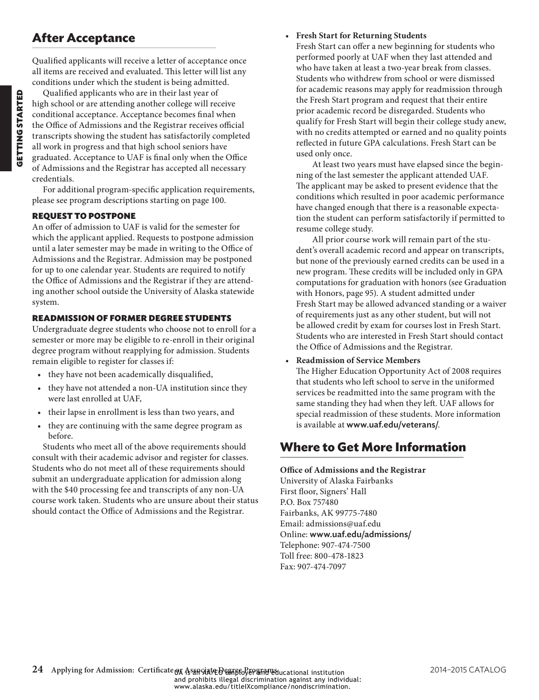# **After Acceptance**

Qualified applicants will receive a letter of acceptance once all items are received and evaluated. This letter will list any conditions under which the student is being admitted.

Qualified applicants who are in their last year of high school or are attending another college will receive conditional acceptance. Acceptance becomes final when the Office of Admissions and the Registrar receives official transcripts showing the student has satisfactorily completed all work in progress and that high school seniors have graduated. Acceptance to UAF is final only when the Office of Admissions and the Registrar has accepted all necessary credentials.

For additional program-specific application requirements, please see program descriptions starting on page 100.

### REQUEST TO POSTPONE

An offer of admission to UAF is valid for the semester for which the applicant applied. Requests to postpone admission until a later semester may be made in writing to the Office of Admissions and the Registrar. Admission may be postponed for up to one calendar year. Students are required to notify the Office of Admissions and the Registrar if they are attending another school outside the University of Alaska statewide system.

### READMISSION OF FORMER DEGREE STUDENTS

Undergraduate degree students who choose not to enroll for a semester or more may be eligible to re-enroll in their original degree program without reapplying for admission. Students remain eligible to register for classes if:

- they have not been academically disqualified,
- they have not attended a non-UA institution since they were last enrolled at UAF,
- their lapse in enrollment is less than two years, and
- they are continuing with the same degree program as before.

Students who meet all of the above requirements should consult with their academic advisor and register for classes. Students who do not meet all of these requirements should submit an undergraduate application for admission along with the \$40 processing fee and transcripts of any non-UA course work taken. Students who are unsure about their status should contact the Office of Admissions and the Registrar.

### • **Fresh Start for Returning Students**

Fresh Start can offer a new beginning for students who performed poorly at UAF when they last attended and who have taken at least a two-year break from classes. Students who withdrew from school or were dismissed for academic reasons may apply for readmission through the Fresh Start program and request that their entire prior academic record be disregarded. Students who qualify for Fresh Start will begin their college study anew, with no credits attempted or earned and no quality points reflected in future GPA calculations. Fresh Start can be used only once.

At least two years must have elapsed since the beginning of the last semester the applicant attended UAF. The applicant may be asked to present evidence that the conditions which resulted in poor academic performance have changed enough that there is a reasonable expectation the student can perform satisfactorily if permitted to resume college study.

All prior course work will remain part of the student's overall academic record and appear on transcripts, but none of the previously earned credits can be used in a new program. These credits will be included only in GPA computations for graduation with honors (see Graduation with Honors, page 95). A student admitted under Fresh Start may be allowed advanced standing or a waiver of requirements just as any other student, but will not be allowed credit by exam for courses lost in Fresh Start. Students who are interested in Fresh Start should contact the Office of Admissions and the Registrar.

• **Readmission of Service Members**

The Higher Education Opportunity Act of 2008 requires that students who left school to serve in the uniformed services be readmitted into the same program with the same standing they had when they left. UAF allows for special readmission of these students. More information is available at www.uaf.edu/veterans/.

# **Where to Get More Information**

### **Office of Admissions and the Registrar**

University of Alaska Fairbanks First floor, Signers' Hall P.O. Box 757480 Fairbanks, AK 99775-7480 Email: admissions@uaf.edu Online: www.uaf.edu/admissions/ Telephone: 907-474-7500 Toll free: 800-478-1823 Fax: 907-474-7097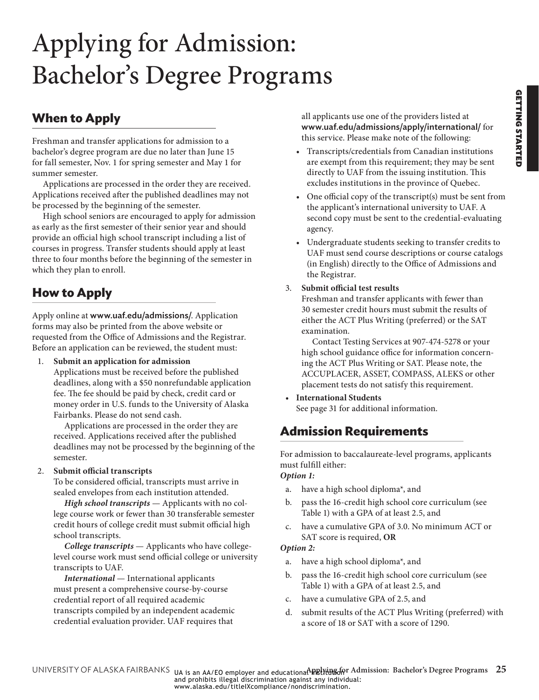# <span id="page-4-0"></span>Applying for Admission: Bachelor's Degree Programs

# **When to Apply**

Freshman and transfer applications for admission to a bachelor's degree program are due no later than June 15 for fall semester, Nov. 1 for spring semester and May 1 for summer semester.

Applications are processed in the order they are received. Applications received after the published deadlines may not be processed by the beginning of the semester.

High school seniors are encouraged to apply for admission as early as the first semester of their senior year and should provide an official high school transcript including a list of courses in progress. Transfer students should apply at least three to four months before the beginning of the semester in which they plan to enroll.

# **How to Apply**

Apply online at www.uaf.edu/admissions/. Application forms may also be printed from the above website or requested from the Office of Admissions and the Registrar. Before an application can be reviewed, the student must:

1. **Submit an application for admission**

Applications must be received before the published deadlines, along with a \$50 nonrefundable application fee. The fee should be paid by check, credit card or money order in U.S. funds to the University of Alaska Fairbanks. Please do not send cash.

Applications are processed in the order they are received. Applications received after the published deadlines may not be processed by the beginning of the semester.

### 2. **Submit official transcripts**

<span id="page-4-2"></span>To be considered official, transcripts must arrive in sealed envelopes from each institution attended.

*High school transcripts* — Applicants with no college course work or fewer than 30 transferable semester credit hours of college credit must submit official high school transcripts.

*College transcripts* — Applicants who have collegelevel course work must send official college or university transcripts to UAF.

*International* — International applicants must present a comprehensive course-by-course credential report of all required academic transcripts compiled by an independent academic credential evaluation provider. UAF requires that

all applicants use one of the providers listed at www.uaf.edu/admissions/apply/international/ for this service. Please make note of the following:

- Transcripts/credentials from Canadian institutions are exempt from this requirement; they may be sent directly to UAF from the issuing institution. This excludes institutions in the province of Quebec.
- One official copy of the transcript(s) must be sent from the applicant's international university to UAF. A second copy must be sent to the credential-evaluating agency.
- Undergraduate students seeking to transfer credits to UAF must send course descriptions or course catalogs (in English) directly to the Office of Admissions and the Registrar.

### 3. **Submit official test results**

Freshman and transfer applicants with fewer than 30 semester credit hours must submit the results of either the ACT Plus Writing (preferred) or the SAT examination.

Contact Testing Services at 907-474-5278 or your high school guidance office for information concerning the ACT Plus Writing or SAT. Please note, the ACCUPLACER, ASSET, COMPASS, ALEKS or other placement tests do not satisfy this requirement.

• **International Students** See [page 31](#page-10-1) for additional information.

# <span id="page-4-1"></span>**Admission Requirements**

For admission to baccalaureate-level programs, applicants must fulfill either:

*Option 1:*

- a. have a high school diploma\*, and
- b. pass the 16-credit high school core curriculum (see [Table 1\)](#page-5-0) with a GPA of at least 2.5, and
- c. have a cumulative GPA of 3.0. No minimum ACT or SAT score is required, **OR**

### *Option 2:*

- a. have a high school diploma\*, and
- b. pass the 16-credit high school core curriculum (see [Table 1\)](#page-5-0) with a GPA of at least 2.5, and
- c. have a cumulative GPA of 2.5, and
- d. submit results of the ACT Plus Writing (preferred) with a score of 18 or SAT with a score of 1290.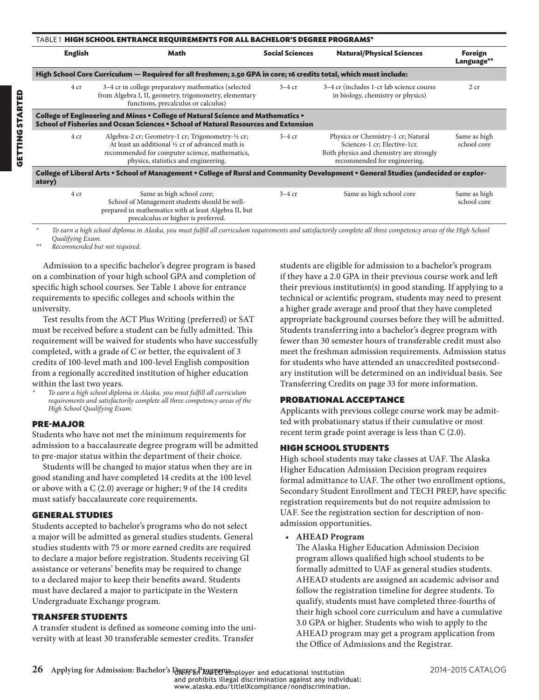<span id="page-5-0"></span>

|                        | TABLE 1 HIGH SCHOOL ENTRANCE REQUIREMENTS FOR ALL BACHELOR'S DEGREE PROGRAMS*                                                                                                                  |                                                            |                                                                                                                                               |                             |
|------------------------|------------------------------------------------------------------------------------------------------------------------------------------------------------------------------------------------|------------------------------------------------------------|-----------------------------------------------------------------------------------------------------------------------------------------------|-----------------------------|
| <b>English</b><br>Math |                                                                                                                                                                                                | <b>Social Sciences</b><br><b>Natural/Physical Sciences</b> |                                                                                                                                               | Foreign<br>Language**       |
|                        | High School Core Curriculum — Required for all freshmen; 2.50 GPA in core; 16 credits total, which must include:                                                                               |                                                            |                                                                                                                                               |                             |
| 4 cr                   | 3-4 cr in college preparatory mathematics (selected<br>from Algebra I, II, geometry, trigonometry, elementary<br>functions, precalculus or calculus)                                           | $3-4$ cr                                                   | 3-4 cr (includes 1-cr lab science course<br>in biology, chemistry or physics)                                                                 | 2 cr                        |
|                        | College of Engineering and Mines . College of Natural Science and Mathematics .<br>School of Fisheries and Ocean Sciences • School of Natural Resources and Extension                          |                                                            |                                                                                                                                               |                             |
| 4 cr                   | Algebra-2 cr; Geometry-1 cr; Trigonometry-½ cr;<br>At least an additional 1/2 cr of advanced math is<br>recommended for computer science, mathematics,<br>physics, statistics and engineering. | $3-4$ cr                                                   | Physics or Chemistry-1 cr; Natural<br>Sciences-1 cr; Elective-1cr.<br>Both physics and chemistry are strongly<br>recommended for engineering. | Same as high<br>school core |
| atory)                 | College of Liberal Arts • School of Management • College of Rural and Community Development • General Studies (undecided or explor-                                                            |                                                            |                                                                                                                                               |                             |
| 4 cr                   | Same as high school core;<br>School of Management students should be well-<br>prepared in mathematics with at least Algebra II, but<br>precalculus or higher is preferred.                     | $3-4$ cr                                                   | Same as high school core                                                                                                                      | Same as high<br>school core |

*\* To earn a high school diploma in Alaska, you must fulfill all curriculum requirements and satisfactorily complete all three competency areas of the High School Qualifying Exam.*

*\*\* Recommended but not required.*

Admission to a specific bachelor's degree program is based on a combination of your high school GPA and completion of specific high school courses. See [Table 1](#page-5-0) above for entrance requirements to specific colleges and schools within the university.

Test results from the ACT Plus Writing (preferred) or SAT must be received before a student can be fully admitted. This requirement will be waived for students who have successfully completed, with a grade of C or better, the equivalent of 3 credits of 100-level math and 100-level English composition from a regionally accredited institution of higher education within the last two years.

*\* To earn a high school diploma in Alaska, you must fulfill all curriculum requirements and satisfactorily complete all three competency areas of the High School Qualifying Exam.* 

### PRE-MAJOR

Students who have not met the minimum requirements for admission to a baccalaureate degree program will be admitted to pre-major status within the department of their choice.

Students will be changed to major status when they are in good standing and have completed 14 credits at the 100 level or above with a C (2.0) average or higher; 9 of the 14 credits must satisfy baccalaureate core requirements.

### GENERAL STUDIES

Students accepted to bachelor's programs who do not select a major will be admitted as general studies students. General studies students with 75 or more earned credits are required to declare a major before registration. Students receiving GI assistance or veterans' benefits may be required to change to a declared major to keep their benefits award. Students must have declared a major to participate in the Western Undergraduate Exchange program.

### TRANSFER STUDENTS

A transfer student is defined as someone coming into the university with at least 30 transferable semester credits. Transfer

students are eligible for admission to a bachelor's program if they have a 2.0 GPA in their previous course work and left their previous institution(s) in good standing. If applying to a technical or scientific program, students may need to present a higher grade average and proof that they have completed appropriate background courses before they will be admitted. Students transferring into a bachelor's degree program with fewer than 30 semester hours of transferable credit must also meet the freshman admission requirements. Admission status for students who have attended an unaccredited postsecondary institution will be determined on an individual basis. See Transferring Credits on [page 33](#page-12-1) for more information.

### PROBATIONAL ACCEPTANCE

Applicants with previous college course work may be admitted with probationary status if their cumulative or most recent term grade point average is less than C (2.0).

### HIGH SCHOOL STUDENTS

High school students may take classes at UAF. The Alaska Higher Education Admission Decision program requires formal admittance to UAF. The other two enrollment options, Secondary Student Enrollment and TECH PREP, have specific registration requirements but do not require admission to UAF. See the registration section for description of nonadmission opportunities.

• **AHEAD Program**

The Alaska Higher Education Admission Decision program allows qualified high school students to be formally admitted to UAF as general studies students. AHEAD students are assigned an academic advisor and follow the registration timeline for degree students. To qualify, students must have completed three-fourths of their high school core curriculum and have a cumulative 3.0 GPA or higher. Students who wish to apply to the AHEAD program may get a program application from the Office of Admissions and the Registrar.

www.alaska.edu/titleIXcompliance/nondiscrimination.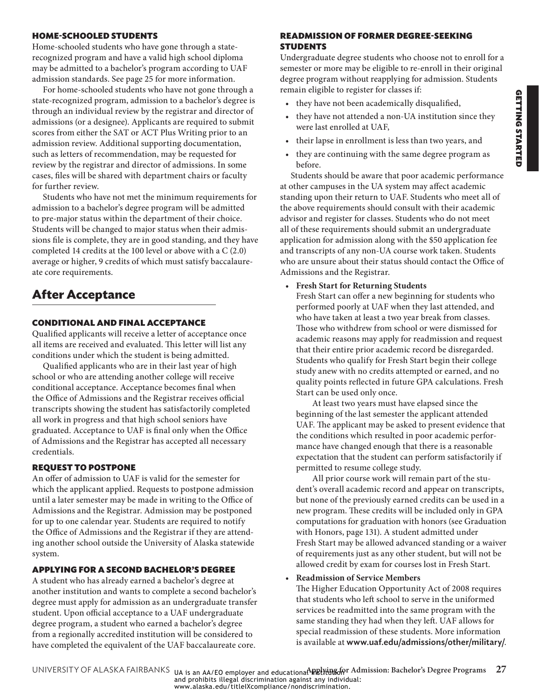### HOME-SCHOOLED STUDENTS

Home-schooled students who have gone through a staterecognized program and have a valid high school diploma may be admitted to a bachelor's program according to UAF admission standards. See [page 25](#page-4-1) for more information.

For home-schooled students who have not gone through a state-recognized program, admission to a bachelor's degree is through an individual review by the registrar and director of admissions (or a designee). Applicants are required to submit scores from either the SAT or ACT Plus Writing prior to an admission review. Additional supporting documentation, such as letters of recommendation, may be requested for review by the registrar and director of admissions. In some cases, files will be shared with department chairs or faculty for further review.

Students who have not met the minimum requirements for admission to a bachelor's degree program will be admitted to pre-major status within the department of their choice. Students will be changed to major status when their admissions file is complete, they are in good standing, and they have completed 14 credits at the 100 level or above with a C (2.0) average or higher, 9 credits of which must satisfy baccalaureate core requirements.

# **After Acceptance**

### CONDITIONAL AND FINAL ACCEPTANCE

Qualified applicants will receive a letter of acceptance once all items are received and evaluated. This letter will list any conditions under which the student is being admitted.

Qualified applicants who are in their last year of high school or who are attending another college will receive conditional acceptance. Acceptance becomes final when the Office of Admissions and the Registrar receives official transcripts showing the student has satisfactorily completed all work in progress and that high school seniors have graduated. Acceptance to UAF is final only when the Office of Admissions and the Registrar has accepted all necessary credentials.

### REQUEST TO POSTPONE

An offer of admission to UAF is valid for the semester for which the applicant applied. Requests to postpone admission until a later semester may be made in writing to the Office of Admissions and the Registrar. Admission may be postponed for up to one calendar year. Students are required to notify the Office of Admissions and the Registrar if they are attending another school outside the University of Alaska statewide system.

### APPLYING FOR A SECOND BACHELOR'S DEGREE

A student who has already earned a bachelor's degree at another institution and wants to complete a second bachelor's degree must apply for admission as an undergraduate transfer student. Upon official acceptance to a UAF undergraduate degree program, a student who earned a bachelor's degree from a regionally accredited institution will be considered to have completed the equivalent of the UAF baccalaureate core.

### READMISSION OF FORMER DEGREE-SEEKING **STUDENTS**

Undergraduate degree students who choose not to enroll for a semester or more may be eligible to re-enroll in their original degree program without reapplying for admission. Students remain eligible to register for classes if:

- they have not been academically disqualified,
- they have not attended a non-UA institution since they were last enrolled at UAF,
- their lapse in enrollment is less than two years, and
- they are continuing with the same degree program as before.

Students should be aware that poor academic performance at other campuses in the UA system may affect academic standing upon their return to UAF. Students who meet all of the above requirements should consult with their academic advisor and register for classes. Students who do not meet all of these requirements should submit an undergraduate application for admission along with the \$50 application fee and transcripts of any non-UA course work taken. Students who are unsure about their status should contact the Office of Admissions and the Registrar.

### • **Fresh Start for Returning Students**

Fresh Start can offer a new beginning for students who performed poorly at UAF when they last attended, and who have taken at least a two year break from classes. Those who withdrew from school or were dismissed for academic reasons may apply for readmission and request that their entire prior academic record be disregarded. Students who qualify for Fresh Start begin their college study anew with no credits attempted or earned, and no quality points reflected in future GPA calculations. Fresh Start can be used only once.

At least two years must have elapsed since the beginning of the last semester the applicant attended UAF. The applicant may be asked to present evidence that the conditions which resulted in poor academic performance have changed enough that there is a reasonable expectation that the student can perform satisfactorily if permitted to resume college study.

All prior course work will remain part of the student's overall academic record and appear on transcripts, but none of the previously earned credits can be used in a new program. These credits will be included only in GPA computations for graduation with honors (see Graduation with Honors, page 131). A student admitted under Fresh Start may be allowed advanced standing or a waiver of requirements just as any other student, but will not be allowed credit by exam for courses lost in Fresh Start.

### • **Readmission of Service Members**

The Higher Education Opportunity Act of 2008 requires that students who left school to serve in the uniformed services be readmitted into the same program with the same standing they had when they left. UAF allows for special readmission of these students. More information is available at www.uaf.edu/admissions/other/military/.

UNIVERSITY OF ALASKA FAIRBANKS UA is an AA/EO employer and educationa APRE ling for Admission: Bachelor's Degree Programs 27<br>and prohibits illegal discrimination against any individual:<br>www.alaska.edu/titlelXcompliance/non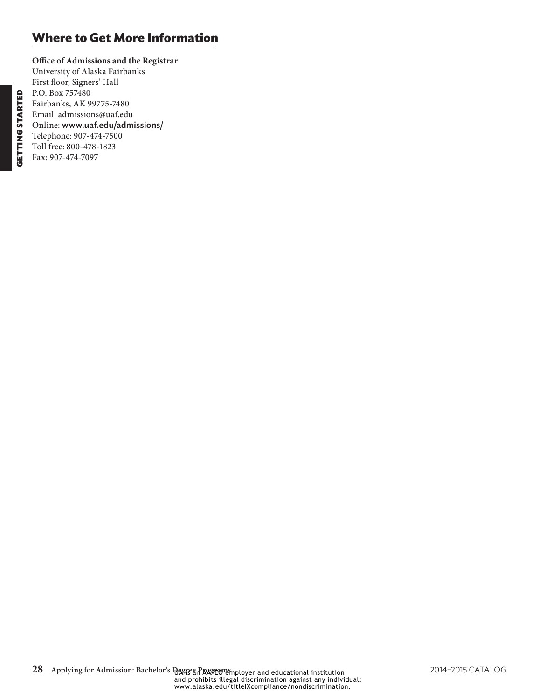## **Where to Get More Information**

**Office of Admissions and the Registrar** University of Alaska Fairbanks First floor, Signers' Hall P.O. Box 757480 Fairbanks, AK 99775-7480 Email: admissions@uaf.edu Online: www.uaf.edu/admissions/ Telephone: 907-474-7500 Toll free: 800-478-1823 Fax: 907-474-7097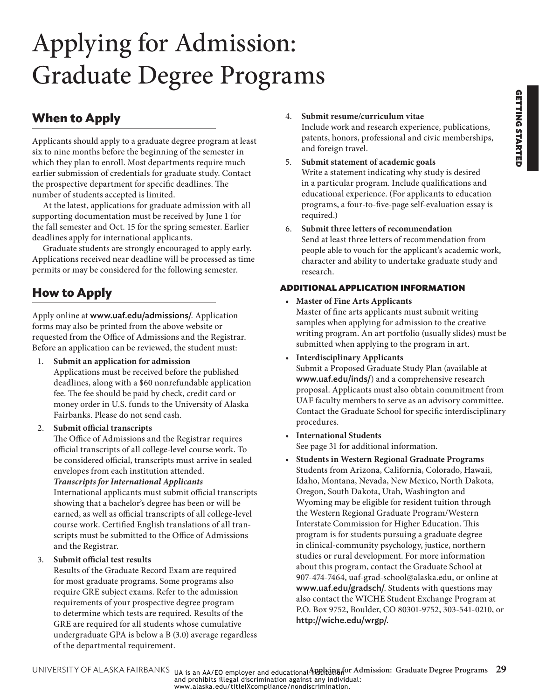# <span id="page-8-0"></span>Applying for Admission: Graduate Degree Programs

# **When to Apply**

Applicants should apply to a graduate degree program at least six to nine months before the beginning of the semester in which they plan to enroll. Most departments require much earlier submission of credentials for graduate study. Contact the prospective department for specific deadlines. The number of students accepted is limited.

At the latest, applications for graduate admission with all supporting documentation must be received by June 1 for the fall semester and Oct. 15 for the spring semester. Earlier deadlines apply for international applicants.

Graduate students are strongly encouraged to apply early. Applications received near deadline will be processed as time permits or may be considered for the following semester.

# **How to Apply**

Apply online at www.uaf.edu/admissions/. Application forms may also be printed from the above website or requested from the Office of Admissions and the Registrar. Before an application can be reviewed, the student must:

- 1. **Submit an application for admission** Applications must be received before the published deadlines, along with a \$60 nonrefundable application fee. The fee should be paid by check, credit card or money order in U.S. funds to the University of Alaska Fairbanks. Please do not send cash.
- 2. **Submit official transcripts**

<span id="page-8-1"></span>The Office of Admissions and the Registrar requires official transcripts of all college-level course work. To be considered official, transcripts must arrive in sealed envelopes from each institution attended.

*Transcripts for International Applicants*

International applicants must submit official transcripts showing that a bachelor's degree has been or will be earned, as well as official transcripts of all college-level course work. Certified English translations of all transcripts must be submitted to the Office of Admissions and the Registrar.

### 3. **Submit official test results**

Results of the Graduate Record Exam are required for most graduate programs. Some programs also require GRE subject exams. Refer to the admission requirements of your prospective degree program to determine which tests are required. Results of the GRE are required for all students whose cumulative undergraduate GPA is below a B (3.0) average regardless of the departmental requirement.

- 4. **Submit resume/curriculum vitae** Include work and research experience, publications, patents, honors, professional and civic memberships, and foreign travel.
- 5. **Submit statement of academic goals** Write a statement indicating why study is desired in a particular program. Include qualifications and educational experience. (For applicants to education programs, a four-to-five-page self-evaluation essay is required.)
- 6. **Submit three letters of recommendation** Send at least three letters of recommendation from people able to vouch for the applicant's academic work, character and ability to undertake graduate study and research.

### ADDITIONAL APPLICATION INFORMATION

• **Master of Fine Arts Applicants** Master of fine arts applicants must submit writing samples when applying for admission to the creative writing program. An art portfolio (usually slides) must be submitted when applying to the program in art.

Contact the Graduate School for specific interdisciplinary

• **Interdisciplinary Applicants** Submit a Proposed Graduate Study Plan (available at www.uaf.edu/inds/) and a comprehensive research proposal. Applicants must also obtain commitment from UAF faculty members to serve as an advisory committee.

- procedures. • **International Students** See [page 31](#page-10-1) for additional information.
- **Students in Western Regional Graduate Programs** Students from Arizona, California, Colorado, Hawaii, Idaho, Montana, Nevada, New Mexico, North Dakota, Oregon, South Dakota, Utah, Washington and Wyoming may be eligible for resident tuition through the Western Regional Graduate Program/Western Interstate Commission for Higher Education. This program is for students pursuing a graduate degree in clinical-community psychology, justice, northern studies or rural development. For more information about this program, contact the Graduate School at 907-474-7464, uaf-grad-school@alaska.edu, or online at www.uaf.edu/gradsch/. Students with questions may also contact the WICHE Student Exchange Program at P.O. Box 9752, Boulder, CO 80301-9752, 303-541-0210, or http://wiche.edu/wrgp/.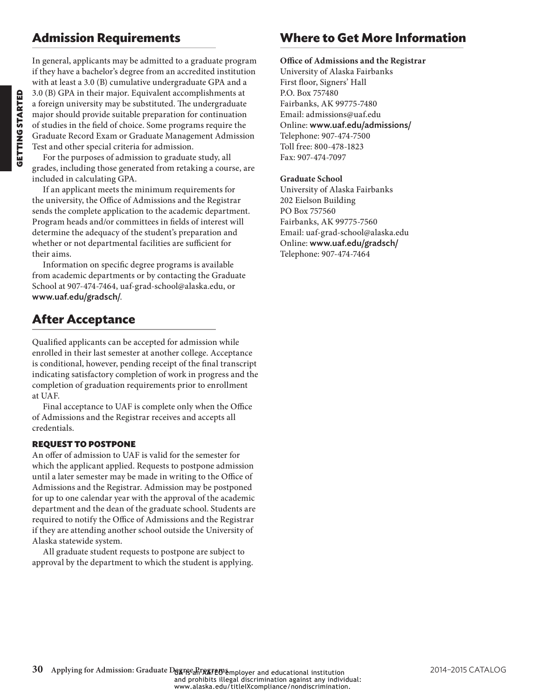### **Admission Requirements**

In general, applicants may be admitted to a graduate program if they have a bachelor's degree from an accredited institution with at least a 3.0 (B) cumulative undergraduate GPA and a 3.0 (B) GPA in their major. Equivalent accomplishments at a foreign university may be substituted. The undergraduate major should provide suitable preparation for continuation of studies in the field of choice. Some programs require the Graduate Record Exam or Graduate Management Admission Test and other special criteria for admission.

For the purposes of admission to graduate study, all grades, including those generated from retaking a course, are included in calculating GPA.

If an applicant meets the minimum requirements for the university, the Office of Admissions and the Registrar sends the complete application to the academic department. Program heads and/or committees in fields of interest will determine the adequacy of the student's preparation and whether or not departmental facilities are sufficient for their aims.

Information on specific degree programs is available from academic departments or by contacting the Graduate School at 907-474-7464, uaf-grad-school@alaska.edu, or www.uaf.edu/gradsch/.

## **After Acceptance**

Qualified applicants can be accepted for admission while enrolled in their last semester at another college. Acceptance is conditional, however, pending receipt of the final transcript indicating satisfactory completion of work in progress and the completion of graduation requirements prior to enrollment at UAF.

Final acceptance to UAF is complete only when the Office of Admissions and the Registrar receives and accepts all credentials.

### REQUEST TO POSTPONE

An offer of admission to UAF is valid for the semester for which the applicant applied. Requests to postpone admission until a later semester may be made in writing to the Office of Admissions and the Registrar. Admission may be postponed for up to one calendar year with the approval of the academic department and the dean of the graduate school. Students are required to notify the Office of Admissions and the Registrar if they are attending another school outside the University of Alaska statewide system.

All graduate student requests to postpone are subject to approval by the department to which the student is applying.

### **Where to Get More Information**

### **Office of Admissions and the Registrar** University of Alaska Fairbanks

First floor, Signers' Hall P.O. Box 757480 Fairbanks, AK 99775-7480 Email: admissions@uaf.edu Online: www.uaf.edu/admissions/ Telephone: 907-474-7500 Toll free: 800-478-1823 Fax: 907-474-7097

### **Graduate School**

University of Alaska Fairbanks 202 Eielson Building PO Box 757560 Fairbanks, AK 99775-7560 Email: uaf-grad-school@alaska.edu Online: www.uaf.edu/gradsch/ Telephone: 907-474-7464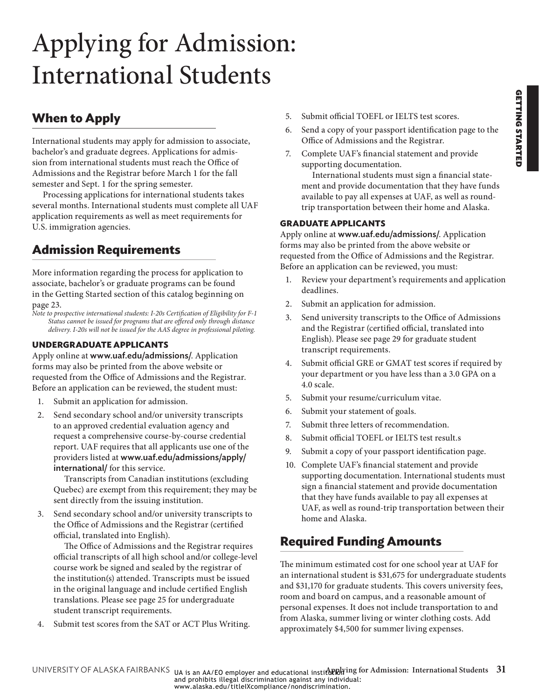# <span id="page-10-1"></span><span id="page-10-0"></span>Applying for Admission: International Students

# **When to Apply**

International students may apply for admission to associate, bachelor's and graduate degrees. Applications for admission from international students must reach the Office of Admissions and the Registrar before March 1 for the fall semester and Sept. 1 for the spring semester.

Processing applications for international students takes several months. International students must complete all UAF application requirements as well as meet requirements for U.S. immigration agencies.

# **Admission Requirements**

More information regarding the process for application to associate, bachelor's or graduate programs can be found in the Getting Started section of this catalog beginning on [page 23.](#page-2-1)

*Note to prospective international students: I-20s Certification of Eligibility for F-1 Status cannot be issued for programs that are offered only through distance delivery. I-20s will not be issued for the AAS degree in professional piloting.*

### **UNDERGRADUATE APPLICANTS**

Apply online at www.uaf.edu/admissions/. Application forms may also be printed from the above website or requested from the Office of Admissions and the Registrar. Before an application can be reviewed, the student must:

- 1. Submit an application for admission.
- 2. Send secondary school and/or university transcripts to an approved credential evaluation agency and request a comprehensive course-by-course credential report. UAF requires that all applicants use one of the providers listed at www.uaf.edu/admissions/apply/ international/ for this service.

Transcripts from Canadian institutions (excluding Quebec) are exempt from this requirement; they may be sent directly from the issuing institution.

3. Send secondary school and/or university transcripts to the Office of Admissions and the Registrar (certified official, translated into English).

The Office of Admissions and the Registrar requires official transcripts of all high school and/or college-level course work be signed and sealed by the registrar of the institution(s) attended. Transcripts must be issued in the original language and include certified English translations. Please see [page 25](#page-4-2) for undergraduate student transcript requirements.

4. Submit test scores from the SAT or ACT Plus Writing.

- 5. Submit official TOEFL or IELTS test scores.
- 6. Send a copy of your passport identification page to the Office of Admissions and the Registrar.
- 7. Complete UAF's financial statement and provide supporting documentation.

International students must sign a financial statement and provide documentation that they have funds available to pay all expenses at UAF, as well as roundtrip transportation between their home and Alaska.

### **GRADUATE APPLICANTS**

Apply online at www.uaf.edu/admissions/. Application forms may also be printed from the above website or requested from the Office of Admissions and the Registrar. Before an application can be reviewed, you must:

- 1. Review your department's requirements and application deadlines.
- 2. Submit an application for admission.
- 3. Send university transcripts to the Office of Admissions and the Registrar (certified official, translated into English). Please see [page 29](#page-8-1) for graduate student transcript requirements.
- 4. Submit official GRE or GMAT test scores if required by your department or you have less than a 3.0 GPA on a 4.0 scale.
- 5. Submit your resume/curriculum vitae.
- 6. Submit your statement of goals.
- 7. Submit three letters of recommendation.
- 8. Submit official TOEFL or IELTS test result.s
- 9. Submit a copy of your passport identification page.
- 10. Complete UAF's financial statement and provide supporting documentation. International students must sign a financial statement and provide documentation that they have funds available to pay all expenses at UAF, as well as round-trip transportation between their home and Alaska.

# **Required Funding Amounts**

The minimum estimated cost for one school year at UAF for an international student is \$31,675 for undergraduate students and \$31,170 for graduate students. This covers university fees, room and board on campus, and a reasonable amount of personal expenses. It does not include transportation to and from Alaska, summer living or winter clothing costs. Add approximately \$4,500 for summer living expenses.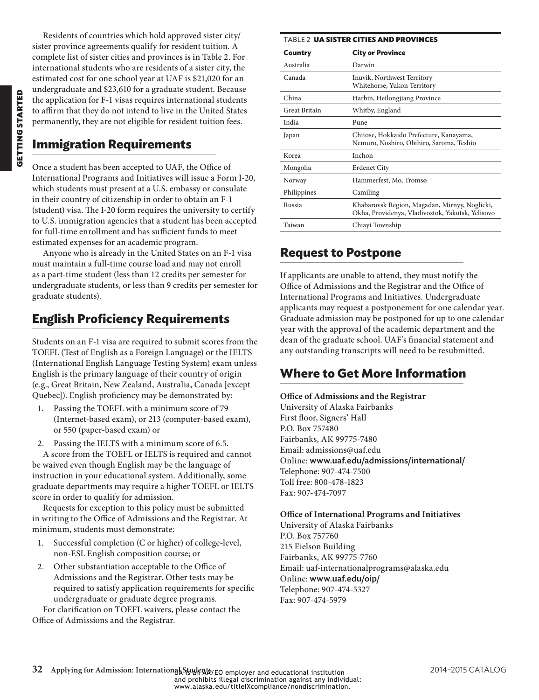Residents of countries which hold approved sister city/ sister province agreements qualify for resident tuition. A complete list of sister cities and provinces is in [Table 2.](#page-11-0) For international students who are residents of a sister city, the estimated cost for one school year at UAF is \$21,020 for an undergraduate and \$23,610 for a graduate student. Because the application for F-1 visas requires international students to affirm that they do not intend to live in the United States permanently, they are not eligible for resident tuition fees.

## **Immigration Requirements**

Once a student has been accepted to UAF, the Office of International Programs and Initiatives will issue a Form I-20, which students must present at a U.S. embassy or consulate in their country of citizenship in order to obtain an F-1 (student) visa. The I-20 form requires the university to certify to U.S. immigration agencies that a student has been accepted for full-time enrollment and has sufficient funds to meet estimated expenses for an academic program.

Anyone who is already in the United States on an F-1 visa must maintain a full-time course load and may not enroll as a part-time student (less than 12 credits per semester for undergraduate students, or less than 9 credits per semester for graduate students).

## **English Proficiency Requirements**

Students on an F-1 visa are required to submit scores from the TOEFL (Test of English as a Foreign Language) or the IELTS (International English Language Testing System) exam unless English is the primary language of their country of origin (e.g., Great Britain, New Zealand, Australia, Canada [except Quebec]). English proficiency may be demonstrated by:

- 1. Passing the TOEFL with a minimum score of 79 (Internet-based exam), or 213 (computer-based exam), or 550 (paper-based exam) or
- 2. Passing the IELTS with a minimum score of 6.5.

A score from the TOEFL or IELTS is required and cannot be waived even though English may be the language of instruction in your educational system. Additionally, some graduate departments may require a higher TOEFL or IELTS score in order to qualify for admission.

Requests for exception to this policy must be submitted in writing to the Office of Admissions and the Registrar. At minimum, students must demonstrate:

- 1. Successful completion (C or higher) of college-level, non-ESL English composition course; or
- 2. Other substantiation acceptable to the Office of Admissions and the Registrar. Other tests may be required to satisfy application requirements for specific undergraduate or graduate degree programs.

For clarification on TOEFL waivers, please contact the Office of Admissions and the Registrar.

<span id="page-11-0"></span>

| <b>TABLE 2 UA SISTER CITIES AND PROVINCES</b> |                                                                                                   |  |  |
|-----------------------------------------------|---------------------------------------------------------------------------------------------------|--|--|
| Country                                       | <b>City or Province</b>                                                                           |  |  |
| Australia                                     | Darwin                                                                                            |  |  |
| Canada                                        | Inuvik, Northwest Territory<br>Whitehorse, Yukon Territory                                        |  |  |
| China                                         | Harbin, Heilongjiang Province                                                                     |  |  |
| <b>Great Britain</b>                          | Whitby, England                                                                                   |  |  |
| India                                         | Pune                                                                                              |  |  |
| Japan                                         | Chitose, Hokkaido Prefecture, Kanayama,<br>Nemuro, Noshiro, Obihiro, Saroma, Teshio               |  |  |
| Korea                                         | Inchon                                                                                            |  |  |
| Mongolia                                      | <b>Erdenet City</b>                                                                               |  |  |
| Norway                                        | Hammerfest, Mo, Tromsø                                                                            |  |  |
| Philippines                                   | Camiling                                                                                          |  |  |
| Russia                                        | Khabarovsk Region, Magadan, Mirnyy, Noglicki,<br>Okha, Providenya, Vladivostok, Yakutsk, Yelisovo |  |  |
| Taiwan                                        | Chiayi Township                                                                                   |  |  |

### **Request to Postpone**

If applicants are unable to attend, they must notify the Office of Admissions and the Registrar and the Office of International Programs and Initiatives. Undergraduate applicants may request a postponement for one calendar year. Graduate admission may be postponed for up to one calendar year with the approval of the academic department and the dean of the graduate school. UAF's financial statement and any outstanding transcripts will need to be resubmitted.

## **Where to Get More Information**

#### **Office of Admissions and the Registrar**

University of Alaska Fairbanks First floor, Signers' Hall P.O. Box 757480 Fairbanks, AK 99775-7480 Email: admissions@uaf.edu Online: www.uaf.edu/admissions/international/ Telephone: 907-474-7500 Toll free: 800-478-1823 Fax: 907-474-7097

**Office of International Programs and Initiatives** University of Alaska Fairbanks P.O. Box 757760 215 Eielson Building Fairbanks, AK 99775-7760 Email: uaf-internationalprograms@alaska.edu Online: www.uaf.edu/oip/ Telephone: 907-474-5327 Fax: 907-474-5979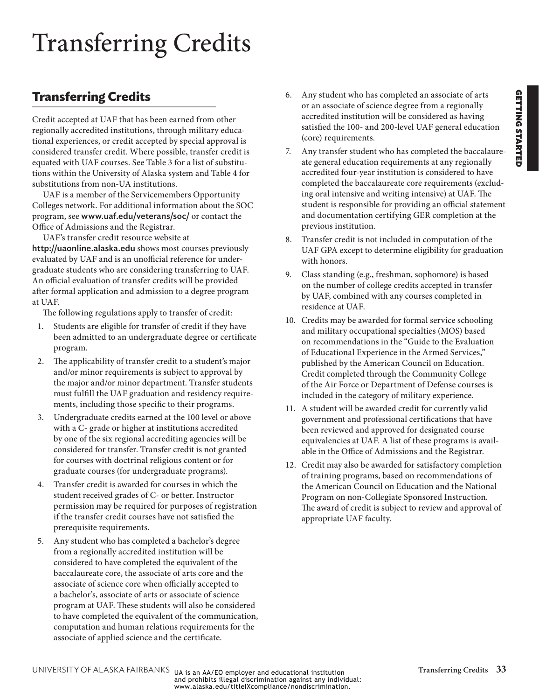# <span id="page-12-0"></span>Transferring Credits

## <span id="page-12-1"></span>**Transferring Credits**

Credit accepted at UAF that has been earned from other regionally accredited institutions, through military educational experiences, or credit accepted by special approval is considered transfer credit. Where possible, transfer credit is equated with UAF courses. See [Table 3](#page-13-0) for a list of substitutions within the University of Alaska system and [Table 4](#page-14-0) for substitutions from non-UA institutions.

UAF is a member of the Servicemembers Opportunity Colleges network. For additional information about the SOC program, see www.uaf.edu/veterans/soc/ or contact the Office of Admissions and the Registrar.

UAF's transfer credit resource website at http://uaonline.alaska.edu shows most courses previously evaluated by UAF and is an unofficial reference for undergraduate students who are considering transferring to UAF. An official evaluation of transfer credits will be provided after formal application and admission to a degree program at UAF.

The following regulations apply to transfer of credit:

- 1. Students are eligible for transfer of credit if they have been admitted to an undergraduate degree or certificate program.
- 2. The applicability of transfer credit to a student's major and/or minor requirements is subject to approval by the major and/or minor department. Transfer students must fulfill the UAF graduation and residency requirements, including those specific to their programs.
- 3. Undergraduate credits earned at the 100 level or above with a C- grade or higher at institutions accredited by one of the six regional accrediting agencies will be considered for transfer. Transfer credit is not granted for courses with doctrinal religious content or for graduate courses (for undergraduate programs).
- 4. Transfer credit is awarded for courses in which the student received grades of C- or better. Instructor permission may be required for purposes of registration if the transfer credit courses have not satisfied the prerequisite requirements.
- 5. Any student who has completed a bachelor's degree from a regionally accredited institution will be considered to have completed the equivalent of the baccalaureate core, the associate of arts core and the associate of science core when officially accepted to a bachelor's, associate of arts or associate of science program at UAF. These students will also be considered to have completed the equivalent of the communication, computation and human relations requirements for the associate of applied science and the certificate.
- 6. Any student who has completed an associate of arts or an associate of science degree from a regionally accredited institution will be considered as having satisfied the 100- and 200-level UAF general education (core) requirements.
- 7. Any transfer student who has completed the baccalaureate general education requirements at any regionally accredited four-year institution is considered to have completed the baccalaureate core requirements (excluding oral intensive and writing intensive) at UAF. The student is responsible for providing an official statement and documentation certifying GER completion at the previous institution.
- 8. Transfer credit is not included in computation of the UAF GPA except to determine eligibility for graduation with honors.
- 9. Class standing (e.g., freshman, sophomore) is based on the number of college credits accepted in transfer by UAF, combined with any courses completed in residence at UAF.
- 10. Credits may be awarded for formal service schooling and military occupational specialties (MOS) based on recommendations in the "Guide to the Evaluation of Educational Experience in the Armed Services," published by the American Council on Education. Credit completed through the Community College of the Air Force or Department of Defense courses is included in the category of military experience.
- 11. A student will be awarded credit for currently valid government and professional certifications that have been reviewed and approved for designated course equivalencies at UAF. A list of these programs is available in the Office of Admissions and the Registrar.
- 12. Credit may also be awarded for satisfactory completion of training programs, based on recommendations of the American Council on Education and the National Program on non-Collegiate Sponsored Instruction. The award of credit is subject to review and approval of appropriate UAF faculty.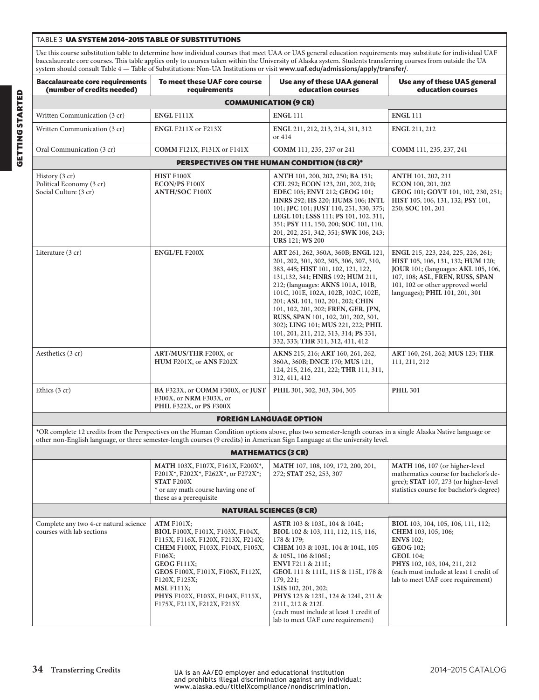#### <span id="page-13-0"></span>Table 3 UA SYSTEM 2014–2015 TABLE OF SUBSTITUTIONS

Use this course substitution table to determine how individual courses that meet UAA or UAS general education requirements may substitute for individual UAF baccalaureate core courses. This table applies only to courses taken within the University of Alaska system. Students transferring courses from outside the UA system should consult [Table 4](#page-14-0) — Table of Substitutions: Non-UA Institutions or visit www.uaf.edu/admissions/apply/transfer/.

| <b>Baccalaureate core requirements</b><br>(number of credits needed)                                                                                                                                                                                                                      | To meet these UAF core course<br>requirements                                                                                                                                                                                                                                            | Use any of these UAA general<br>Use any of these UAS general<br>education courses<br>education courses                                                                                                                                                                                                                                                                                                                                                                      |                                                                                                                                                                                                                                       |  |  |  |
|-------------------------------------------------------------------------------------------------------------------------------------------------------------------------------------------------------------------------------------------------------------------------------------------|------------------------------------------------------------------------------------------------------------------------------------------------------------------------------------------------------------------------------------------------------------------------------------------|-----------------------------------------------------------------------------------------------------------------------------------------------------------------------------------------------------------------------------------------------------------------------------------------------------------------------------------------------------------------------------------------------------------------------------------------------------------------------------|---------------------------------------------------------------------------------------------------------------------------------------------------------------------------------------------------------------------------------------|--|--|--|
| <b>COMMUNICATION (9 CR)</b>                                                                                                                                                                                                                                                               |                                                                                                                                                                                                                                                                                          |                                                                                                                                                                                                                                                                                                                                                                                                                                                                             |                                                                                                                                                                                                                                       |  |  |  |
| Written Communication (3 cr)                                                                                                                                                                                                                                                              | <b>ENGL F111X</b>                                                                                                                                                                                                                                                                        | <b>ENGL 111</b>                                                                                                                                                                                                                                                                                                                                                                                                                                                             | <b>ENGL 111</b>                                                                                                                                                                                                                       |  |  |  |
| Written Communication (3 cr)                                                                                                                                                                                                                                                              | ENGL F211X or F213X                                                                                                                                                                                                                                                                      | ENGL 211, 212, 213, 214, 311, 312<br>or 414                                                                                                                                                                                                                                                                                                                                                                                                                                 | <b>ENGL 211, 212</b>                                                                                                                                                                                                                  |  |  |  |
| Oral Communication (3 cr)                                                                                                                                                                                                                                                                 | <b>COMM F121X, F131X or F141X</b>                                                                                                                                                                                                                                                        | <b>COMM</b> 111, 235, 237 or 241                                                                                                                                                                                                                                                                                                                                                                                                                                            | COMM 111, 235, 237, 241                                                                                                                                                                                                               |  |  |  |
|                                                                                                                                                                                                                                                                                           |                                                                                                                                                                                                                                                                                          | PERSPECTIVES ON THE HUMAN CONDITION (18 CR)*                                                                                                                                                                                                                                                                                                                                                                                                                                |                                                                                                                                                                                                                                       |  |  |  |
| History (3 cr)<br>Political Economy (3 cr)<br>Social Culture (3 cr)                                                                                                                                                                                                                       | HIST F100X<br><b>ECON/PS F100X</b><br><b>ANTH/SOC F100X</b>                                                                                                                                                                                                                              | ANTH 101, 200, 202, 250; BA 151;<br>CEL 292; ECON 123, 201, 202, 210;<br>EDEC 105; ENVI 212; GEOG 101;<br>HNRS 292; HS 220; HUMS 106; INTL<br>101; JPC 101; JUST 110, 251, 330, 375;<br>LEGL 101; LSSS 111; PS 101, 102, 311,<br>351; PSY 111, 150, 200; SOC 101, 110,<br>201, 202, 251, 342, 351; SWK 106, 243;<br><b>URS</b> 121; WS 200                                                                                                                                  | ANTH 101, 202, 211<br>ECON 100, 201, 202<br>GEOG 101; GOVT 101, 102, 230, 251;<br>HIST 105, 106, 131, 132; PSY 101,<br>250; SOC 101, 201                                                                                              |  |  |  |
| Literature (3 cr)                                                                                                                                                                                                                                                                         | <b>ENGL/FL F200X</b>                                                                                                                                                                                                                                                                     | ART 261, 262, 360A, 360B; ENGL 121,<br>201, 202, 301, 302, 305, 306, 307, 310,<br>383, 445; HIST 101, 102, 121, 122,<br>131, 132, 341; HNRS 192; HUM 211,<br>212; (languages: AKNS 101A, 101B,<br>101C, 101E, 102A, 102B, 102C, 102E,<br>201; ASL 101, 102, 201, 202; CHIN<br>101, 102, 201, 202; FREN, GER, JPN,<br>RUSS, SPAN 101, 102, 201, 202, 301,<br>302); LING 101; MUS 221, 222; PHIL<br>101, 201, 211, 212, 313, 314; PS 331,<br>332, 333; THR 311, 312, 411, 412 | ENGL 215, 223, 224, 225, 226, 261;<br>HIST 105, 106, 131, 132; HUM 120;<br><b>JOUR</b> 101; (languages: AKL 105, 106,<br>107, 108; ASL, FREN, RUSS, SPAN<br>101, 102 or other approved world<br>languages); PHIL 101, 201, 301        |  |  |  |
| Aesthetics (3 cr)                                                                                                                                                                                                                                                                         | ART/MUS/THR F200X, or<br>HUM F201X, or ANS F202X                                                                                                                                                                                                                                         | AKNS 215, 216; ART 160, 261, 262,<br>360A, 360B; DNCE 170; MUS 121,<br>124, 215, 216, 221, 222; THR 111, 311,<br>312, 411, 412                                                                                                                                                                                                                                                                                                                                              | ART 160, 261, 262; MUS 123; THR<br>111, 211, 212                                                                                                                                                                                      |  |  |  |
| Ethics $(3 cr)$                                                                                                                                                                                                                                                                           | BA F323X, or COMM F300X, or JUST<br>F300X, or NRM F303X, or<br>PHIL F322X, or PS F300X                                                                                                                                                                                                   | PHIL 301, 302, 303, 304, 305                                                                                                                                                                                                                                                                                                                                                                                                                                                | <b>PHIL 301</b>                                                                                                                                                                                                                       |  |  |  |
| <b>FOREIGN LANGUAGE OPTION</b>                                                                                                                                                                                                                                                            |                                                                                                                                                                                                                                                                                          |                                                                                                                                                                                                                                                                                                                                                                                                                                                                             |                                                                                                                                                                                                                                       |  |  |  |
| *OR complete 12 credits from the Perspectives on the Human Condition options above, plus two semester-length courses in a single Alaska Native language or<br>other non-English language, or three semester-length courses (9 credits) in American Sign Language at the university level. |                                                                                                                                                                                                                                                                                          |                                                                                                                                                                                                                                                                                                                                                                                                                                                                             |                                                                                                                                                                                                                                       |  |  |  |
|                                                                                                                                                                                                                                                                                           | <b>MATHEMATICS (3 CR)</b>                                                                                                                                                                                                                                                                |                                                                                                                                                                                                                                                                                                                                                                                                                                                                             |                                                                                                                                                                                                                                       |  |  |  |
|                                                                                                                                                                                                                                                                                           | MATH 103X, F107X, F161X, F200X*,<br>F201X*, F202X*, F262X*, or F272X*;<br><b>STAT F200X</b><br>* or any math course having one of<br>these as a prerequisite                                                                                                                             | MATH 107, 108, 109, 172, 200, 201,<br>272; STAT 252, 253, 307                                                                                                                                                                                                                                                                                                                                                                                                               | MATH 106, 107 (or higher-level<br>mathematics course for bachelor's de-<br>gree); STAT 107, 273 (or higher-level<br>statistics course for bachelor's degree)                                                                          |  |  |  |
| <b>NATURAL SCIENCES (8 CR)</b>                                                                                                                                                                                                                                                            |                                                                                                                                                                                                                                                                                          |                                                                                                                                                                                                                                                                                                                                                                                                                                                                             |                                                                                                                                                                                                                                       |  |  |  |
| Complete any two 4-cr natural science<br>courses with lab sections                                                                                                                                                                                                                        | ATM F101X;<br>BIOL F100X, F101X, F103X, F104X,<br>F115X, F116X, F120X, F213X, F214X;<br>CHEM F100X, F103X, F104X, F105X,<br>F106X;<br>GEOG F111X;<br>GEOS F100X, F101X, F106X, F112X,<br>F120X, F125X;<br>$MSL$ F111X;<br>PHYS F102X, F103X, F104X, F115X,<br>F175X, F211X, F212X, F213X | ASTR 103 & 103L, 104 & 104L;<br>BIOL 102 & 103, 111, 112, 115, 116,<br>178 & 179;<br>CHEM 103 & 103L, 104 & 104L, 105<br>& 105L, 106 & 106L;<br><b>ENVI</b> F211 & 211L;<br>GEOL 111 & 111L, 115 & 115L, 178 &<br>179, 221;<br>LSIS 102, 201, 202;<br>PHYS 123 & 123L, 124 & 124L, 211 &<br>211L, 212 & 212L<br>(each must include at least 1 credit of<br>lab to meet UAF core requirement)                                                                                | BIOL 103, 104, 105, 106, 111, 112;<br>CHEM 103, 105, 106;<br><b>ENVS</b> 102;<br><b>GEOG 102;</b><br><b>GEOL 104;</b><br>PHYS 102, 103, 104, 211, 212<br>(each must include at least 1 credit of<br>lab to meet UAF core requirement) |  |  |  |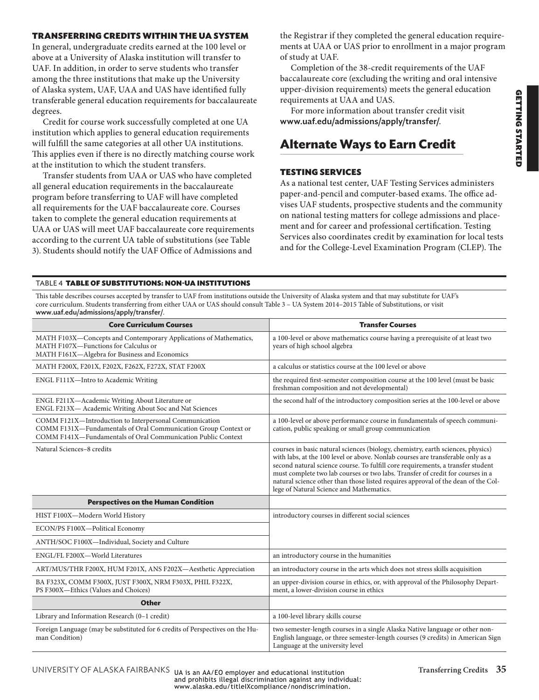### TRANSFERRING CREDITS WITHIN THE UA SYSTEM

In general, undergraduate credits earned at the 100 level or above at a University of Alaska institution will transfer to UAF. In addition, in order to serve students who transfer among the three institutions that make up the University of Alaska system, UAF, UAA and UAS have identified fully transferable general education requirements for baccalaureate degrees.

Credit for course work successfully completed at one UA institution which applies to general education requirements will fulfill the same categories at all other UA institutions. This applies even if there is no directly matching course work at the institution to which the student transfers.

Transfer students from UAA or UAS who have completed all general education requirements in the baccalaureate program before transferring to UAF will have completed all requirements for the UAF baccalaureate core. Courses taken to complete the general education requirements at UAA or UAS will meet UAF baccalaureate core requirements according to the current UA table of substitutions (see [Table](#page-13-0)  [3](#page-13-0)). Students should notify the UAF Office of Admissions and

the Registrar if they completed the general education requirements at UAA or UAS prior to enrollment in a major program of study at UAF.

Completion of the 38-credit requirements of the UAF baccalaureate core (excluding the writing and oral intensive upper-division requirements) meets the general education requirements at UAA and UAS.

For more information about transfer credit visit www.uaf.edu/admissions/apply/transfer/.

# **Alternate Ways to Earn Credit**

### TESTING SERVICES

As a national test center, UAF Testing Services administers paper-and-pencil and computer-based exams. The office advises UAF students, prospective students and the community on national testing matters for college admissions and placement and for career and professional certification. Testing Services also coordinates credit by examination for local tests and for the College-Level Examination Program (CLEP). The

#### <span id="page-14-0"></span>Table 4 TABLE OF SUBSTITUTIONS: NON-UA INSTITUTIONS

This table describes courses accepted by transfer to UAF from institutions outside the University of Alaska system and that may substitute for UAF's core curriculum. Students transferring from either UAA or UAS should consult [Table 3](#page-13-0) – UA System 2014–2015 Table of Substitutions, or visit [www.uaf.edu/admissions/apply/transfer/](www.uaf.edu/admissions/undergrad/transfer/)

| <b>Core Curriculum Courses</b>                                                                                                                                                           | <b>Transfer Courses</b>                                                                                                                                                                                                                                                                                                                                                                                                                                                  |
|------------------------------------------------------------------------------------------------------------------------------------------------------------------------------------------|--------------------------------------------------------------------------------------------------------------------------------------------------------------------------------------------------------------------------------------------------------------------------------------------------------------------------------------------------------------------------------------------------------------------------------------------------------------------------|
| MATH F103X-Concepts and Contemporary Applications of Mathematics,<br>MATH F107X-Functions for Calculus or<br>MATH F161X-Algebra for Business and Economics                               | a 100-level or above mathematics course having a prerequisite of at least two<br>years of high school algebra                                                                                                                                                                                                                                                                                                                                                            |
| MATH F200X, F201X, F202X, F262X, F272X, STAT F200X                                                                                                                                       | a calculus or statistics course at the 100 level or above                                                                                                                                                                                                                                                                                                                                                                                                                |
| ENGL F111X-Intro to Academic Writing                                                                                                                                                     | the required first-semester composition course at the 100 level (must be basic<br>freshman composition and not developmental)                                                                                                                                                                                                                                                                                                                                            |
| ENGL F211X-Academic Writing About Literature or<br>ENGL F213X- Academic Writing About Soc and Nat Sciences                                                                               | the second half of the introductory composition series at the 100-level or above                                                                                                                                                                                                                                                                                                                                                                                         |
| COMM F121X-Introduction to Interpersonal Communication<br>COMM F131X-Fundamentals of Oral Communication Group Context or<br>COMM F141X-Fundamentals of Oral Communication Public Context | a 100-level or above performance course in fundamentals of speech communi-<br>cation, public speaking or small group communication                                                                                                                                                                                                                                                                                                                                       |
| Natural Sciences-8 credits                                                                                                                                                               | courses in basic natural sciences (biology, chemistry, earth sciences, physics)<br>with labs, at the 100 level or above. Nonlab courses are transferable only as a<br>second natural science course. To fulfill core requirements, a transfer student<br>must complete two lab courses or two labs. Transfer of credit for courses in a<br>natural science other than those listed requires approval of the dean of the Col-<br>lege of Natural Science and Mathematics. |
| <b>Perspectives on the Human Condition</b>                                                                                                                                               |                                                                                                                                                                                                                                                                                                                                                                                                                                                                          |
| HIST F100X-Modern World History                                                                                                                                                          | introductory courses in different social sciences                                                                                                                                                                                                                                                                                                                                                                                                                        |
| ECON/PS F100X-Political Economy                                                                                                                                                          |                                                                                                                                                                                                                                                                                                                                                                                                                                                                          |
| ANTH/SOC F100X-Individual, Society and Culture                                                                                                                                           |                                                                                                                                                                                                                                                                                                                                                                                                                                                                          |
| ENGL/FL F200X-World Literatures                                                                                                                                                          | an introductory course in the humanities                                                                                                                                                                                                                                                                                                                                                                                                                                 |
| ART/MUS/THR F200X, HUM F201X, ANS F202X-Aesthetic Appreciation                                                                                                                           | an introductory course in the arts which does not stress skills acquisition                                                                                                                                                                                                                                                                                                                                                                                              |
| BA F323X, COMM F300X, JUST F300X, NRM F303X, PHIL F322X,<br>PS F300X-Ethics (Values and Choices)                                                                                         | an upper-division course in ethics, or, with approval of the Philosophy Depart-<br>ment, a lower-division course in ethics                                                                                                                                                                                                                                                                                                                                               |
| <b>Other</b>                                                                                                                                                                             |                                                                                                                                                                                                                                                                                                                                                                                                                                                                          |
| Library and Information Research (0-1 credit)                                                                                                                                            | a 100-level library skills course                                                                                                                                                                                                                                                                                                                                                                                                                                        |
| Foreign Language (may be substituted for 6 credits of Perspectives on the Hu-<br>man Condition)                                                                                          | two semester-length courses in a single Alaska Native language or other non-<br>English language, or three semester-length courses (9 credits) in American Sign<br>Language at the university level                                                                                                                                                                                                                                                                      |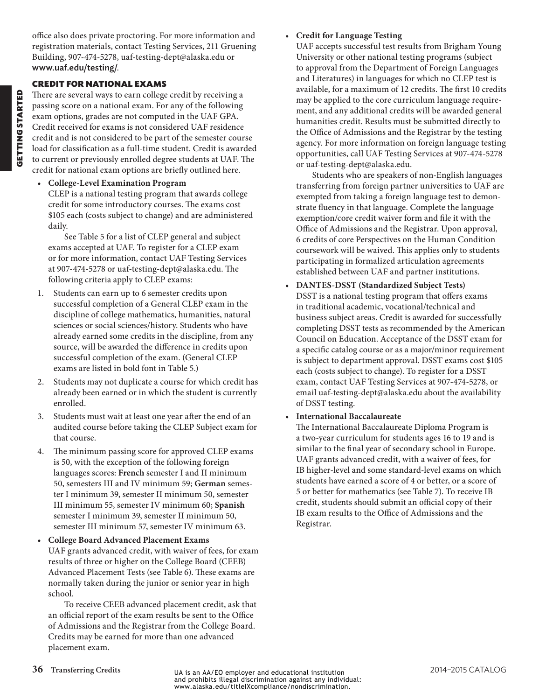office also does private proctoring. For more information and registration materials, contact Testing Services, 211 Gruening Building, 907-474-5278, uaf-testing-dept@alaska.edu or www.uaf.edu/testing/.

### CREDIT FOR NATIONAL EXAMS

There are several ways to earn college credit by receiving a passing score on a national exam. For any of the following exam options, grades are not computed in the UAF GPA. Credit received for exams is not considered UAF residence credit and is not considered to be part of the semester course load for classification as a full-time student. Credit is awarded to current or previously enrolled degree students at UAF. The credit for national exam options are briefly outlined here.

• **College-Level Examination Program**

CLEP is a national testing program that awards college credit for some introductory courses. The exams cost \$105 each (costs subject to change) and are administered daily.

See [Table 5](#page-16-0) for a list of CLEP general and subject exams accepted at UAF. To register for a CLEP exam or for more information, contact UAF Testing Services at 907-474-5278 or uaf-testing-dept@alaska.edu. The following criteria apply to CLEP exams:

- 1. Students can earn up to 6 semester credits upon successful completion of a General CLEP exam in the discipline of college mathematics, humanities, natural sciences or social sciences/history. Students who have already earned some credits in the discipline, from any source, will be awarded the difference in credits upon successful completion of the exam. (General CLEP exams are listed in bold font in [Table 5.](#page-16-0))
- 2. Students may not duplicate a course for which credit has already been earned or in which the student is currently enrolled.
- 3. Students must wait at least one year after the end of an audited course before taking the CLEP Subject exam for that course.
- 4. The minimum passing score for approved CLEP exams is 50, with the exception of the following foreign languages scores: **French** semester I and II minimum 50, semesters III and IV minimum 59; **German** semester I minimum 39, semester II minimum 50, semester III minimum 55, semester IV minimum 60; **Spanish** semester I minimum 39, semester II minimum 50, semester III minimum 57, semester IV minimum 63.

• **College Board Advanced Placement Exams** UAF grants advanced credit, with waiver of fees, for exam results of three or higher on the College Board (CEEB) Advanced Placement Tests (see [Table 6\)](#page-16-1). These exams are normally taken during the junior or senior year in high school.

To receive CEEB advanced placement credit, ask that an official report of the exam results be sent to the Office of Admissions and the Registrar from the College Board. Credits may be earned for more than one advanced placement exam.

### • **Credit for Language Testing**

UAF accepts successful test results from Brigham Young University or other national testing programs (subject to approval from the Department of Foreign Languages and Literatures) in languages for which no CLEP test is available, for a maximum of 12 credits. The first 10 credits may be applied to the core curriculum language requirement, and any additional credits will be awarded general humanities credit. Results must be submitted directly to the Office of Admissions and the Registrar by the testing agency. For more information on foreign language testing opportunities, call UAF Testing Services at 907-474-5278 or [uaf-testing-dept@alaska.edu.](mailto:uaf-testing-dept%40alaska.edu?subject=)

Students who are speakers of non-English languages transferring from foreign partner universities to UAF are exempted from taking a foreign language test to demonstrate fluency in that language. Complete the language exemption/core credit waiver form and file it with the Office of Admissions and the Registrar. Upon approval, 6 credits of core Perspectives on the Human Condition coursework will be waived. This applies only to students participating in formalized articulation agreements established between UAF and partner institutions.

• **DANTES-DSST (Standardized Subject Tests)** DSST is a national testing program that offers exams in traditional academic, vocational/technical and business subject areas. Credit is awarded for successfully completing DSST tests as recommended by the American Council on Education. Acceptance of the DSST exam for a specific catalog course or as a major/minor requirement is subject to department approval. DSST exams cost \$105 each (costs subject to change). To register for a DSST exam, contact UAF Testing Services at 907-474-5278, or email uaf-testing-dept@alaska.edu about the availability of DSST testing.

### • **International Baccalaureate**

The International Baccalaureate Diploma Program is a two-year curriculum for students ages 16 to 19 and is similar to the final year of secondary school in Europe. UAF grants advanced credit, with a waiver of fees, for IB higher-level and some standard-level exams on which students have earned a score of 4 or better, or a score of 5 or better for mathematics (see [Table 7](#page-17-0)). To receive IB credit, students should submit an official copy of their IB exam results to the Office of Admissions and the Registrar.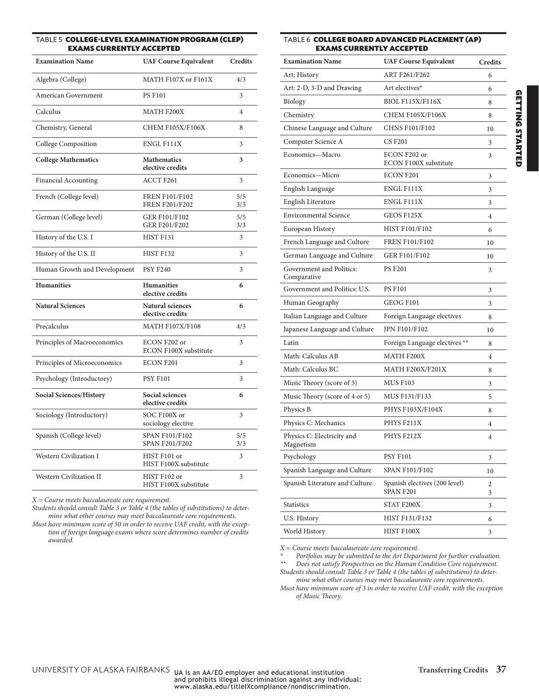#### <span id="page-16-0"></span>Table 5 COLLEGE-LEVEL EXAMINATION PROGRAM (CLEP) **EXAMS CURRENTLY ACCEPTED**

| <b>Examination Name</b>        | <b>UAF Course Equivalent</b>                   | <b>Credits</b> |
|--------------------------------|------------------------------------------------|----------------|
| Algebra (College)              | MATH F107X or F161X                            | 4/3            |
| <b>American Government</b>     | <b>PS F101</b>                                 | 3              |
| Calculus                       | MATH F200X                                     | 4              |
| Chemistry, General             | <b>CHEM F105X/F106X</b>                        | 8              |
| College Composition            | ENGL F111X                                     | 3              |
| <b>College Mathematics</b>     | <b>Mathematics</b><br>elective credits         | 3              |
| <b>Financial Accounting</b>    | <b>ACCT F261</b>                               | 3              |
| French (College level)         | <b>FREN F101/F102</b><br><b>FREN F201/F202</b> | 5/5<br>3/3     |
| German (College level)         | <b>GER F101/F102</b><br><b>GER F201/F202</b>   | 5/5<br>3/3     |
| History of the U.S. I          | HIST F131                                      | 3              |
| History of the U.S. II         | HIST F132                                      | 3              |
| Human Growth and Development   | <b>PSY F240</b>                                | 3              |
| <b>Humanities</b>              | <b>Humanities</b><br>elective credits          | 6              |
| <b>Natural Sciences</b>        | <b>Natural sciences</b><br>elective credits    | 6              |
| Precalculus                    | <b>MATH F107X/F108</b>                         | 4/3            |
| Principles of Macroeconomics   | ECON F202 or<br><b>ECON F100X substitute</b>   | 3              |
| Principles of Microeconomics   | <b>ECON F201</b>                               | 3              |
| Psychology (Introductory)      | <b>PSY F101</b>                                | 3              |
| <b>Social Sciences/History</b> | Social sciences<br>elective credits            | 6              |
| Sociology (Introductory)       | SOC F100X or<br>sociology elective             | 3              |
| Spanish (College level)        | <b>SPAN F101/F102</b><br><b>SPAN F201/F202</b> | 5/5<br>3/3     |
| <b>Western Civilization I</b>  | HIST F101 or<br>HIST F100X substitute          | 3              |
| <b>Western Civilization II</b> | HIST F102 or<br>HIST F100X substitute          | 3              |

*X = Course meets baccalaureate core requirement.*

*Students should consult [Table 3](#page-13-0) or [Table 4](#page-14-0) (the tables of substitutions) to determine what other courses may meet baccalaureate core requirements.*

*Must have minimum score of 50 in order to receive UAF credit, with the exception of foreign language exams where score determines number of credits awarded.*

#### <span id="page-16-1"></span>Table 6 COLLEGE BOARD ADVANCED PLACEMENT (AP) EXAMS CURRENTLY ACCEPTED

| <b>Examination Name</b>                 | <b>UAF Course Equivalent</b>                 | <b>Credits</b> |
|-----------------------------------------|----------------------------------------------|----------------|
| Art: History                            | ART F261/F262                                | 6              |
| Art: 2-D, 3-D and Drawing               | Art electives*                               | 6              |
| Biology                                 | <b>BIOL F115X/F116X</b>                      | 8              |
| Chemistry                               | CHEM F105X/F106X                             | 8              |
| Chinese Language and Culture            | <b>CHNS F101/F102</b>                        | 10             |
| Computer Science A                      | <b>CS F201</b>                               | 3              |
| Economics-Macro                         | ECON F202 or<br><b>ECON F100X substitute</b> | 3              |
| Economics-Micro                         | ECON F201                                    | 3              |
| English Language                        | ENGL F111X                                   | 3              |
| English Literature                      | ENGL F111X                                   | 3              |
| <b>Environmental Science</b>            | GEOS F125X                                   | $\overline{4}$ |
| European History                        | <b>HIST F101/F102</b>                        | 6              |
| French Language and Culture             | <b>FREN F101/F102</b>                        | 10             |
| German Language and Culture             | <b>GER F101/F102</b>                         | 10             |
| Government and Politics:<br>Comparative | <b>PS F201</b>                               | 3              |
| Government and Politics: U.S.           | <b>PS F101</b>                               | 3              |
| Human Geography                         | <b>GEOG F101</b>                             | 3              |
| Italian Language and Culture            | Foreign Language electives                   | 8              |
| Japanese Language and Culture           | <b>JPN F101/F102</b>                         | 10             |
| Latin                                   | Foreign Language electives **                | 8              |
| Math: Calculus AB                       | <b>MATH F200X</b>                            | 4              |
| Math: Calculus BC                       | MATH F200X/F201X                             | 8              |
| Music Theory (score of 3)               | <b>MUS F103</b>                              | 3              |
| Music Theory (score of 4 or 5)          | MUS F131/F133                                | 5              |
| Physics B                               | PHYS F103X/F104X                             | 8              |
| Physics C: Mechanics                    | PHYS F211X                                   | 4              |
| Physics C: Electricity and<br>Magnetism | PHYS F212X                                   | $\overline{4}$ |
| Psychology                              | <b>PSY F101</b>                              | 3              |
| Spanish Language and Culture            | SPAN F101/F102                               | 10             |
| Spanish Literature and Culture          | Spanish electives (200 level)<br>SPAN F201   | 2<br>3         |
| <b>Statistics</b>                       | STAT F200X                                   | 3              |
| U.S. History                            | <b>HIST F131/F132</b>                        | 6              |
| World History                           | HIST F100X                                   | 3              |

*X = Course meets baccalaureate core requirement.*

*\* Portfolios may be submitted to the Art Department for further evaluation.*

*\*\* Does not satisfy Perspectives on the Human Condition Core requirement. Students should consult [Table 3](#page-13-0) or [Table 4](#page-14-0) (the tables of substitutions) to deter-*

*mine what other courses may meet baccalaureate core requirements. Must have minimum score of 3 in order to receive UAF credit, with the exception* 

*of Music Theory.*

UNIVERSITY OF ALASKA FAIRBANKS UA is an AA/EO employer and educational institution Transferring Credits 37<br>and prohibits illegal discrimination against any individual:<br>www.alaska.edu/titlelXcompliance/nondiscrimination.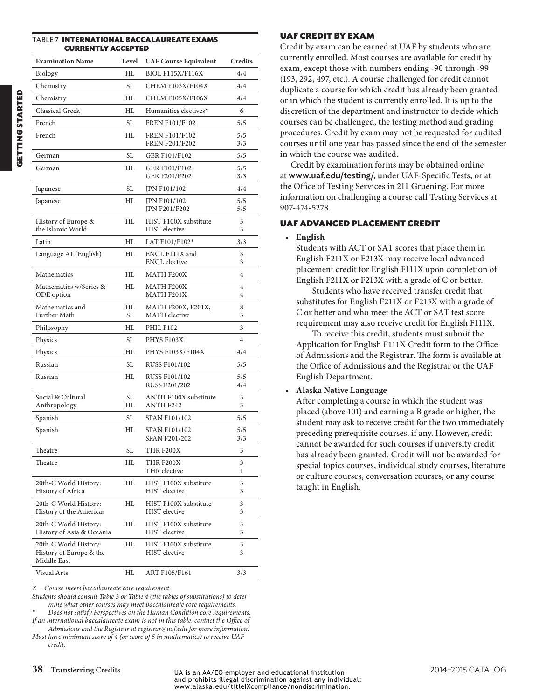#### <span id="page-17-0"></span>Table 7 INTERNATIONAL BACCALAUREATE EXAMS CURRENTLY ACCEPTED

| <b>Examination Name</b>                                         | Level    | <b>UAF Course Equivalent</b>                     | Credits    |
|-----------------------------------------------------------------|----------|--------------------------------------------------|------------|
| Biology                                                         | НL       | <b>BIOL F115X/F116X</b>                          | 4/4        |
| Chemistry                                                       | SL       | <b>CHEM F103X/F104X</b>                          | 4/4        |
| Chemistry                                                       | HL       | CHEM F105X/F106X                                 | 4/4        |
| <b>Classical Greek</b>                                          | HL       | Humanities electives*                            | 6          |
| French                                                          | SL       | <b>FREN F101/F102</b>                            | 5/5        |
| French                                                          | HL       | <b>FREN F101/F102</b><br><b>FREN F201/F202</b>   | 5/5<br>3/3 |
| German                                                          | SL       | GER F101/F102                                    | 5/5        |
| German                                                          | HL       | <b>GER F101/F102</b><br>GER F201/F202            | 5/5<br>3/3 |
| Japanese                                                        | SL       | JPN F101/102                                     | 4/4        |
| Japanese                                                        | HL       | JPN F101/102<br>JPN F201/F202                    | 5/5<br>5/5 |
| History of Europe &<br>the Islamic World                        | HL       | HIST F100X substitute<br><b>HIST</b> elective    | 3<br>3     |
| Latin                                                           | HI.      | LAT F101/F102*                                   | 3/3        |
| Language A1 (English)                                           | HL       | ENGL F111X and<br><b>ENGL</b> elective           | 3<br>3     |
| Mathematics                                                     | HL       | MATH F200X                                       | 4          |
| Mathematics w/Series &<br>ODE option                            | HL       | MATH F200X<br>MATH F201X                         | 4<br>4     |
| Mathematics and<br>Further Math                                 | HL<br>SL | MATH F200X, F201X,<br><b>MATH</b> elective       | 8<br>3     |
| Philosophy                                                      | HL       | PHIL F102                                        | 3          |
| Physics                                                         | SL       | PHYS F103X                                       | 4          |
| Physics                                                         | НL       | PHYS F103X/F104X                                 | 4/4        |
| Russian                                                         | SL       | <b>RUSS F101/102</b>                             | 5/5        |
| Russian                                                         | HL       | <b>RUSS F101/102</b><br><b>RUSS F201/202</b>     | 5/5<br>4/4 |
| Social & Cultural<br>Anthropology                               | SL<br>HL | <b>ANTH F100X substitute</b><br><b>ANTH F242</b> | 3<br>3     |
| Spanish                                                         | SL       | <b>SPAN F101/102</b>                             | 5/5        |
| Spanish                                                         | HL       | SPAN F101/102<br>SPAN F201/202                   | 5/5<br>3/3 |
| Theatre                                                         | SL       | THR F200X                                        | 3          |
| Theatre                                                         | HL       | THR F200X<br>THR elective                        | 3<br>1     |
| 20th-C World History:<br>History of Africa                      | HL       | HIST F100X substitute<br>HIST elective           | 3<br>3     |
| 20th-C World History:<br>History of the Americas                | HL       | HIST F100X substitute<br>HIST elective           | 3<br>3     |
| 20th-C World History:<br>History of Asia & Oceania              | HL       | HIST F100X substitute<br><b>HIST</b> elective    | 3<br>3     |
| 20th-C World History:<br>History of Europe & the<br>Middle East | HL       | HIST F100X substitute<br>HIST elective           | 3<br>3     |
| Visual Arts                                                     | HL       | ART F105/F161                                    | 3/3        |

*X = Course meets baccalaureate core requirement.*

*Students should consult [Table 3](#page-13-0) or [Table 4](#page-14-0) (the tables of substitutions) to determine what other courses may meet baccalaureate core requirements.*

*\* Does not satisfy Perspectives on the Human Condition core requirements.* If an international baccalaureate exam is not in this table, contact the Office of

*Admissions and the Registrar at registrar@uaf.edu for more information. Must have minimum score of 4 (or score of 5 in mathematics) to receive UAF* 

*credit.*

### UAF CREDIT BY EXAM

Credit by exam can be earned at UAF by students who are currently enrolled. Most courses are available for credit by exam, except those with numbers ending -90 through -99 (193, 292, 497, etc.). A course challenged for credit cannot duplicate a course for which credit has already been granted or in which the student is currently enrolled. It is up to the discretion of the department and instructor to decide which courses can be challenged, the testing method and grading procedures. Credit by exam may not be requested for audited courses until one year has passed since the end of the semester in which the course was audited.

Credit by examination forms may be obtained online at www.uaf.edu/testing/, under UAF-Specific Tests, or at the Office of Testing Services in 211 Gruening. For more information on challenging a course call Testing Services at 907-474-5278.

### UAF ADVANCED PLACEMENT CREDIT

#### • **English**

Students with ACT or SAT scores that place them in English F211X or F213X may receive local advanced placement credit for English F111X upon completion of English F211X or F213X with a grade of C or better.

Students who have received transfer credit that substitutes for English F211X or F213X with a grade of C or better and who meet the ACT or SAT test score requirement may also receive credit for English F111X.

To receive this credit, students must submit the Application for English F111X Credit form to the Office of Admissions and the Registrar. The form is available at the Office of Admissions and the Registrar or the UAF English Department.

### • **Alaska Native Language**

After completing a course in which the student was placed (above 101) and earning a B grade or higher, the student may ask to receive credit for the two immediately preceding prerequisite courses, if any. However, credit cannot be awarded for such courses if university credit has already been granted. Credit will not be awarded for special topics courses, individual study courses, literature or culture courses, conversation courses, or any course taught in English.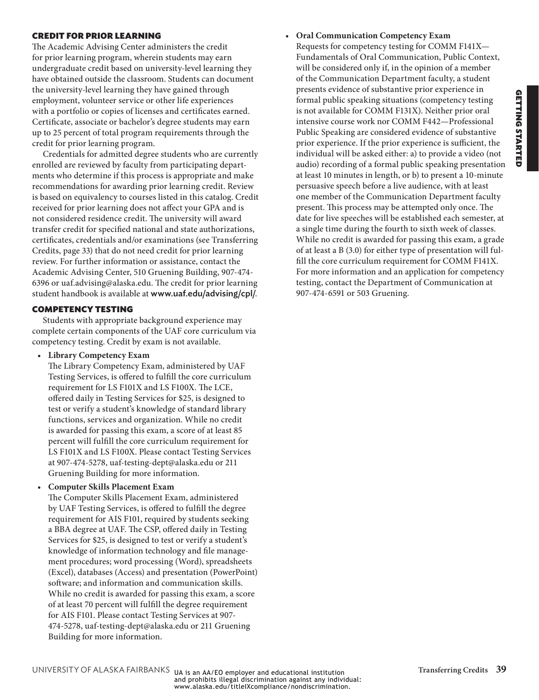# **GETTING STARTED** GETTING STARTED

### CREDIT FOR PRIOR LEARNING

The Academic Advising Center administers the credit for prior learning program, wherein students may earn undergraduate credit based on university-level learning they have obtained outside the classroom. Students can document the university-level learning they have gained through employment, volunteer service or other life experiences with a portfolio or copies of licenses and certificates earned. Certificate, associate or bachelor's degree students may earn up to 25 percent of total program requirements through the credit for prior learning program.

Credentials for admitted degree students who are currently enrolled are reviewed by faculty from participating departments who determine if this process is appropriate and make recommendations for awarding prior learning credit. Review is based on equivalency to courses listed in this catalog. Credit received for prior learning does not affect your GPA and is not considered residence credit. The university will award transfer credit for specified national and state authorizations, certificates, credentials and/or examinations (see Transferring Credits, [page 33\)](#page-12-1) that do not need credit for prior learning review. For further information or assistance, contact the Academic Advising Center, 510 Gruening Building, 907-474- 6396 or uaf.advising@alaska.edu. The credit for prior learning student handbook is available at www.uaf.edu/advising/cpl/.

### COMPETENCY TESTING

Students with appropriate background experience may complete certain components of the UAF core curriculum via competency testing. Credit by exam is not available.

• **Library Competency Exam**

The Library Competency Exam, administered by UAF Testing Services, is offered to fulfill the core curriculum requirement for LS F101X and LS F100X. The LCE, offered daily in Testing Services for \$25, is designed to test or verify a student's knowledge of standard library functions, services and organization. While no credit is awarded for passing this exam, a score of at least 85 percent will fulfill the core curriculum requirement for LS F101X and LS F100X. Please contact Testing Services at 907-474-5278, uaf-testing-dept@alaska.edu or 211 Gruening Building for more information.

• **Computer Skills Placement Exam**

The Computer Skills Placement Exam, administered by UAF Testing Services, is offered to fulfill the degree requirement for AIS F101, required by students seeking a BBA degree at UAF. The CSP, offered daily in Testing Services for \$25, is designed to test or verify a student's knowledge of information technology and file management procedures; word processing (Word), spreadsheets (Excel), databases (Access) and presentation (PowerPoint) software; and information and communication skills. While no credit is awarded for passing this exam, a score of at least 70 percent will fulfill the degree requirement for AIS F101. Please contact Testing Services at 907- 474-5278, uaf-testing-dept@alaska.edu or 211 Gruening Building for more information.

• **Oral Communication Competency Exam** Requests for competency testing for COMM F141X— Fundamentals of Oral Communication, Public Context, will be considered only if, in the opinion of a member of the Communication Department faculty, a student presents evidence of substantive prior experience in formal public speaking situations (competency testing is not available for COMM F131X). Neither prior oral intensive course work nor COMM F442—Professional Public Speaking are considered evidence of substantive prior experience. If the prior experience is sufficient, the individual will be asked either: a) to provide a video (not audio) recording of a formal public speaking presentation at least 10 minutes in length, or b) to present a 10-minute persuasive speech before a live audience, with at least one member of the Communication Department faculty present. This process may be attempted only once. The date for live speeches will be established each semester, at a single time during the fourth to sixth week of classes. While no credit is awarded for passing this exam, a grade of at least a B (3.0) for either type of presentation will fulfill the core curriculum requirement for COMM F141X. For more information and an application for competency testing, contact the Department of Communication at 907-474-6591 or 503 Gruening.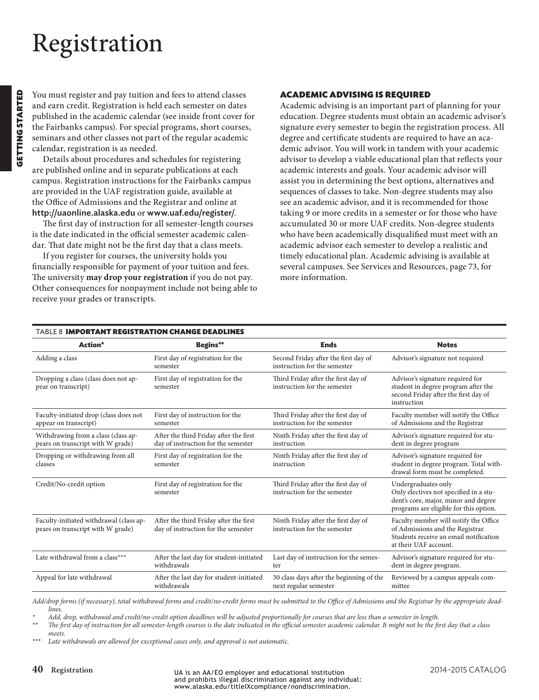# <span id="page-19-0"></span>Registration

You must register and pay tuition and fees to attend classes and earn credit. Registration is held each semester on dates published in the academic calendar (see inside front cover for the Fairbanks campus). For special programs, short courses, seminars and other classes not part of the regular academic calendar, registration is as needed.

Details about procedures and schedules for registering are published online and in separate publications at each campus. Registration instructions for the Fairbanks campus are provided in the UAF registration guide, available at the Office of Admissions and the Registrar and online at http://uaonline.alaska.edu or www.uaf.edu/register/.

The first day of instruction for all semester-length courses is the date indicated in the official semester academic calendar. That date might not be the first day that a class meets.

If you register for courses, the university holds you financially responsible for payment of your tuition and fees. The university **may drop your registration** if you do not pay. Other consequences for nonpayment include not being able to receive your grades or transcripts.

### ACADEMIC ADVISING IS REQUIRED

Academic advising is an important part of planning for your education. Degree students must obtain an academic advisor's signature every semester to begin the registration process. All degree and certificate students are required to have an academic advisor. You will work in tandem with your academic advisor to develop a viable educational plan that reflects your academic interests and goals. Your academic advisor will assist you in determining the best options, alternatives and sequences of classes to take. Non-degree students may also see an academic advisor, and it is recommended for those taking 9 or more credits in a semester or for those who have accumulated 30 or more UAF credits. Non-degree students who have been academically disqualified must meet with an academic advisor each semester to develop a realistic and timely educational plan. Academic advising is available at several campuses. See Services and Resources, page 73, for more information.

<span id="page-19-1"></span>

| <b>TABLE 8 IMPORTANT REGISTRATION CHANGE DEADLINES</b>                       |                                                                               |                                                                      |                                                                                                                                                 |  |  |
|------------------------------------------------------------------------------|-------------------------------------------------------------------------------|----------------------------------------------------------------------|-------------------------------------------------------------------------------------------------------------------------------------------------|--|--|
| Action*                                                                      | Begins**                                                                      | <b>Ends</b>                                                          | <b>Notes</b>                                                                                                                                    |  |  |
| Adding a class                                                               | First day of registration for the<br>semester                                 | Second Friday after the first day of<br>instruction for the semester | Advisor's signature not required                                                                                                                |  |  |
| Dropping a class (class does not ap-<br>pear on transcript)                  | First day of registration for the<br>semester                                 | Third Friday after the first day of<br>instruction for the semester  | Advisor's signature required for<br>student in degree program after the<br>second Friday after the first day of<br>instruction                  |  |  |
| Faculty-initiated drop (class does not<br>appear on transcript)              | First day of instruction for the<br>semester                                  | Third Friday after the first day of<br>instruction for the semester  | Faculty member will notify the Office<br>of Admissions and the Registrar                                                                        |  |  |
| Withdrawing from a class (class ap-<br>pears on transcript with W grade)     | After the third Friday after the first<br>day of instruction for the semester | Ninth Friday after the first day of<br>instruction                   | Advisor's signature required for stu-<br>dent in degree program                                                                                 |  |  |
| Dropping or withdrawing from all<br>classes                                  | First day of registration for the<br>semester                                 | Ninth Friday after the first day of<br>instruction                   | Advisor's signature required for<br>student in degree program. Total with-<br>drawal form must be completed.                                    |  |  |
| Credit/No-credit option                                                      | First day of registration for the<br>semester                                 | Third Friday after the first day of<br>instruction for the semester  | Undergraduates only<br>Only electives not specified in a stu-<br>dent's core, major, minor and degree<br>programs are eligible for this option. |  |  |
| Faculty-initiated withdrawal (class ap-<br>pears on transcript with W grade) | After the third Friday after the first<br>day of instruction for the semester | Ninth Friday after the first day of<br>instruction for the semester  | Faculty member will notify the Office<br>of Admissions and the Registrar.<br>Students receive an email notification<br>at their UAF account.    |  |  |
| Late withdrawal from a class***                                              | After the last day for student-initiated<br>withdrawals                       | Last day of instruction for the semes-<br>ter                        | Advisor's signature required for stu-<br>dent in degree program.                                                                                |  |  |
| Appeal for late withdrawal                                                   | After the last day for student-initiated<br>withdrawals                       | 30 class days after the beginning of the<br>next regular semester    | Reviewed by a campus appeals com-<br>mittee                                                                                                     |  |  |

*Add/drop forms (if necessary), total withdrawal forms and credit/no-credit forms must be submitted to the Office of Admissions and the Registrar by the appropriate deadlines.*

*\* Add, drop, withdrawal and credit/no-credit option deadlines will be adjusted proportionally for courses that are less than a semester in length.*

*\*\* The first day of instruction for all semester-length courses is the date indicated in the official semester academic calendar. It might not be the first day that a class meets.*

*\*\*\* Late withdrawals are allowed for exceptional cases only, and approval is not automatic.*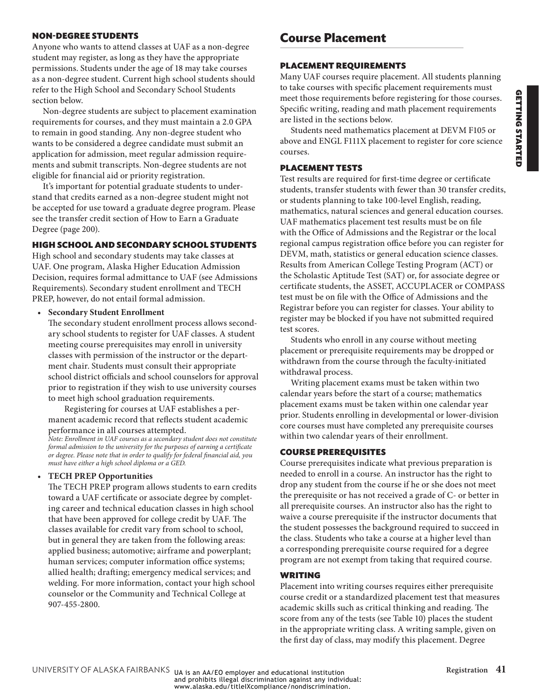# **GETTING STARTED** GETTING STARTED

### NON-DEGREE STUDENTS

Anyone who wants to attend classes at UAF as a non-degree student may register, as long as they have the appropriate permissions. Students under the age of 18 may take courses as a non-degree student. Current high school students should refer to the High School and Secondary School Students section below.

Non-degree students are subject to placement examination requirements for courses, and they must maintain a 2.0 GPA to remain in good standing. Any non-degree student who wants to be considered a degree candidate must submit an application for admission, meet regular admission requirements and submit transcripts. Non-degree students are not eligible for financial aid or priority registration.

It's important for potential graduate students to understand that credits earned as a non-degree student might not be accepted for use toward a graduate degree program. Please see the transfer credit section of How to Earn a Graduate Degree (page 200).

### HIGH SCHOOL AND SECONDARY SCHOOL STUDENTS

High school and secondary students may take classes at UAF. One program, Alaska Higher Education Admission Decision, requires formal admittance to UAF (see Admissions Requirements). Secondary student enrollment and TECH PREP, however, do not entail formal admission.

• **Secondary Student Enrollment**

The secondary student enrollment process allows secondary school students to register for UAF classes. A student meeting course prerequisites may enroll in university classes with permission of the instructor or the department chair. Students must consult their appropriate school district officials and school counselors for approval prior to registration if they wish to use university courses to meet high school graduation requirements.

Registering for courses at UAF establishes a permanent academic record that reflects student academic performance in all courses attempted.

*Note: Enrollment in UAF courses as a secondary student does not constitute formal admission to the university for the purposes of earning a certificate or degree. Please note that in order to qualify for federal financial aid, you must have either a high school diploma or a GED.*

### • **TECH PREP Opportunities**

The TECH PREP program allows students to earn credits toward a UAF certificate or associate degree by completing career and technical education classes in high school that have been approved for college credit by UAF. The classes available for credit vary from school to school, but in general they are taken from the following areas: applied business; automotive; airframe and powerplant; human services; computer information office systems; allied health; drafting; emergency medical services; and welding. For more information, contact your high school counselor or the Community and Technical College at 907-455-2800.

## **Course Placement**

### PLACEMENT REQUIREMENTS

Many UAF courses require placement. All students planning to take courses with specific placement requirements must meet those requirements before registering for those courses. Specific writing, reading and math placement requirements are listed in the sections below.

Students need mathematics placement at DEVM F105 or above and ENGL F111X placement to register for core science courses.

### PLACEMENT TESTS

Test results are required for first-time degree or certificate students, transfer students with fewer than 30 transfer credits, or students planning to take 100-level English, reading, mathematics, natural sciences and general education courses. UAF mathematics placement test results must be on file with the Office of Admissions and the Registrar or the local regional campus registration office before you can register for DEVM, math, statistics or general education science classes. Results from American College Testing Program (ACT) or the Scholastic Aptitude Test (SAT) or, for associate degree or certificate students, the ASSET, ACCUPLACER or COMPASS test must be on file with the Office of Admissions and the Registrar before you can register for classes. Your ability to register may be blocked if you have not submitted required test scores.

Students who enroll in any course without meeting placement or prerequisite requirements may be dropped or withdrawn from the course through the faculty-initiated withdrawal process.

Writing placement exams must be taken within two calendar years before the start of a course; mathematics placement exams must be taken within one calendar year prior. Students enrolling in developmental or lower-division core courses must have completed any prerequisite courses within two calendar years of their enrollment.

### COURSE PREREQUISITES

Course prerequisites indicate what previous preparation is needed to enroll in a course. An instructor has the right to drop any student from the course if he or she does not meet the prerequisite or has not received a grade of C- or better in all prerequisite courses. An instructor also has the right to waive a course prerequisite if the instructor documents that the student possesses the background required to succeed in the class. Students who take a course at a higher level than a corresponding prerequisite course required for a degree program are not exempt from taking that required course.

### WRITING

Placement into writing courses requires either prerequisite course credit or a standardized placement test that measures academic skills such as critical thinking and reading. The score from any of the tests (see [Table 10](#page-21-0)) places the student in the appropriate writing class. A writing sample, given on the first day of class, may modify this placement. Degree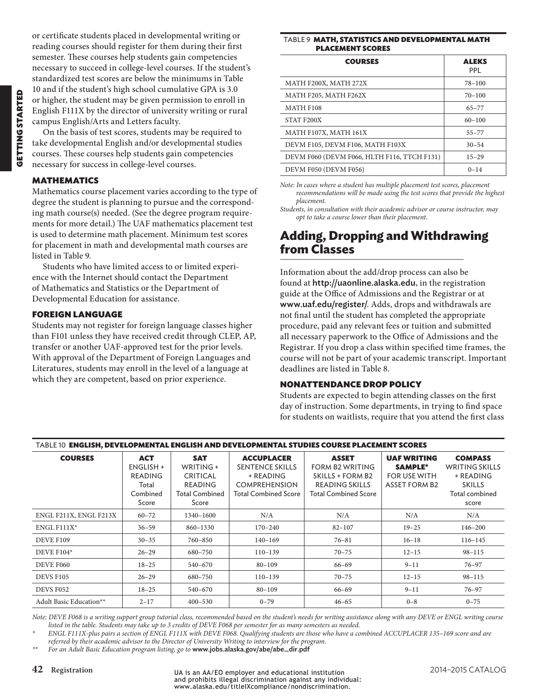or certificate students placed in developmental writing or reading courses should register for them during their first semester. These courses help students gain competencies necessary to succeed in college-level courses. If the student's standardized test scores are below the minimums in [Table](#page-21-0)  [10](#page-21-0) and if the student's high school cumulative GPA is 3.0 or higher, the student may be given permission to enroll in English F111X by the director of university writing or rural campus English/Arts and Letters faculty.

On the basis of test scores, students may be required to take developmental English and/or developmental studies courses. These courses help students gain competencies necessary for success in college-level courses.

### MATHEMATICS

Mathematics course placement varies according to the type of degree the student is planning to pursue and the corresponding math course(s) needed. (See the degree program requirements for more detail.) The UAF mathematics placement test is used to determine math placement. Minimum test scores for placement in math and developmental math courses are listed in [Table 9.](#page-21-1)

Students who have limited access to or limited experience with the Internet should contact the Department of Mathematics and Statistics or the Department of Developmental Education for assistance.

### FOREIGN LANGUAGE

Students may not register for foreign language classes higher than F101 unless they have received credit through CLEP, AP, transfer or another UAF-approved test for the prior levels. With approval of the Department of Foreign Languages and Literatures, students may enroll in the level of a language at which they are competent, based on prior experience.

#### <span id="page-21-1"></span>Table 9 MATH, STATISTICS AND DEVELOPMENTAL MATH PLACEMENT SCORES

| <b>COURSES</b>                              | <b>ALEKS</b><br>PPI |
|---------------------------------------------|---------------------|
| MATH F200X, MATH 272X                       | $78 - 100$          |
| MATH F205, MATH F262X                       | $70 - 100$          |
| <b>MATH F108</b>                            | $65 - 77$           |
| STAT F200X                                  | $60 - 100$          |
| MATH F107X, MATH 161X                       | $55 - 77$           |
| DEVM F105, DEVM F106, MATH F103X            | $30 - 54$           |
| DEVM F060 (DEVM F066, HLTH F116, TTCH F131) | $15 - 29$           |
| DEVM F050 (DEVM F056)                       | $0 - 14$            |

*Note: In cases where a student has multiple placement test scores, placement recommendations will be made using the test scores that provide the highest placement.*

*Students, in consultation with their academic advisor or course instructor, may opt to take a course lower than their placement.*

### **Adding, Dropping and Withdrawing from Classes**

Information about the add/drop process can also be found at http://uaonline.alaska.edu, in the registration guide at the Office of Admissions and the Registrar or at www.uaf.edu/register/. Adds, drops and withdrawals are not final until the student has completed the appropriate procedure, paid any relevant fees or tuition and submitted all necessary paperwork to the Office of Admissions and the Registrar. If you drop a class within specified time frames, the course will not be part of your academic transcript. Important deadlines are listed in [Table 8.](#page-19-1)

### NONATTENDANCE DROP POLICY

Students are expected to begin attending classes on the first day of instruction. Some departments, in trying to find space for students on waitlists, require that you attend the first class

<span id="page-21-0"></span>

| TABLE 10 ENGLISH, DEVELOPMENTAL ENGLISH AND DEVELOPMENTAL STUDIES COURSE PLACEMENT SCORES |                |                       |                             |                             |                      |                       |  |
|-------------------------------------------------------------------------------------------|----------------|-----------------------|-----------------------------|-----------------------------|----------------------|-----------------------|--|
| <b>COURSES</b>                                                                            | <b>ACT</b>     | <b>SAT</b>            | <b>ACCUPLACER</b>           | <b>ASSET</b>                | <b>UAF WRITING</b>   | <b>COMPASS</b>        |  |
|                                                                                           | ENGLISH +      | WRITING +             | <b>SENTENCE SKILLS</b>      | FORM B2 WRITING             | <b>SAMPLE*</b>       | <b>WRITING SKILLS</b> |  |
|                                                                                           | <b>READING</b> | CRITICAL              | + READING                   | SKILLS + FORM B2            | <b>FOR USE WITH</b>  | + READING             |  |
|                                                                                           | Total          | <b>READING</b>        | <b>COMPREHENSION</b>        | <b>READING SKILLS</b>       | <b>ASSET FORM B2</b> | <b>SKILLS</b>         |  |
|                                                                                           | Combined       | <b>Total Combined</b> | <b>Total Combined Score</b> | <b>Total Combined Score</b> |                      | Total combined        |  |
|                                                                                           | Score          | Score                 |                             |                             |                      | score                 |  |
| ENGL F211X, ENGL F213X                                                                    | $60 - 72$      | 1340-1600             | N/A                         | N/A                         | N/A                  | N/A                   |  |
| ENGL F111 $X^*$                                                                           | $36 - 59$      | 860-1330              | $170 - 240$                 | $82 - 107$                  | $19 - 25$            | $146 - 200$           |  |
| DEVE F109                                                                                 | $30 - 35$      | 760-850               | $140 - 169$                 | $76 - 81$                   | $16 - 18$            | $116 - 145$           |  |
| DEVE F104*                                                                                | $26 - 29$      | 680-750               | $110 - 139$                 | $70 - 75$                   | $12 - 15$            | $98 - 115$            |  |
| DEVE F060                                                                                 | $18 - 25$      | 540-670               | $80 - 109$                  | 66–69                       | $9 - 11$             | $76 - 97$             |  |
| <b>DEVS F105</b>                                                                          | $26 - 29$      | 680-750               | $110 - 139$                 | $70 - 75$                   | $12 - 15$            | $98 - 115$            |  |
| DEVS F052                                                                                 | $18 - 25$      | 540-670               | $80 - 109$                  | 66–69                       | $9 - 11$             | $76 - 97$             |  |
| Adult Basic Education**                                                                   | $2 - 17$       | $400 - 530$           | $0 - 79$                    | $46 - 65$                   | $0 - 8$              | $0 - 75$              |  |

*Note: DEVE F068 is a writing support group tutorial class, recommended based on the student's needs for writing assistance along with any DEVE or ENGL writing course listed in the table. Students may take up to 3 credits of DEVE F068 per semester for as many semesters as needed.*

*\* ENGL F111X-plus pairs a section of ENGL F111X with DEVE F068. Qualifying students are those who have a combined ACCUPLACER 135–169 score and are referred by their academic advisor to the Director of University Writing to interview for the program.*

*\*\* For an Adult Basic Education program listing, go to* www.jobs.alaska.gov/abe/abe\_dir.pdf

**42 Registration** 2014–2015 CATALOG UA is an AA/EO employer and educational institution and prohibits illegal discrimination against any individual: www.alaska.edu/titleIXcompliance/nondiscrimination.